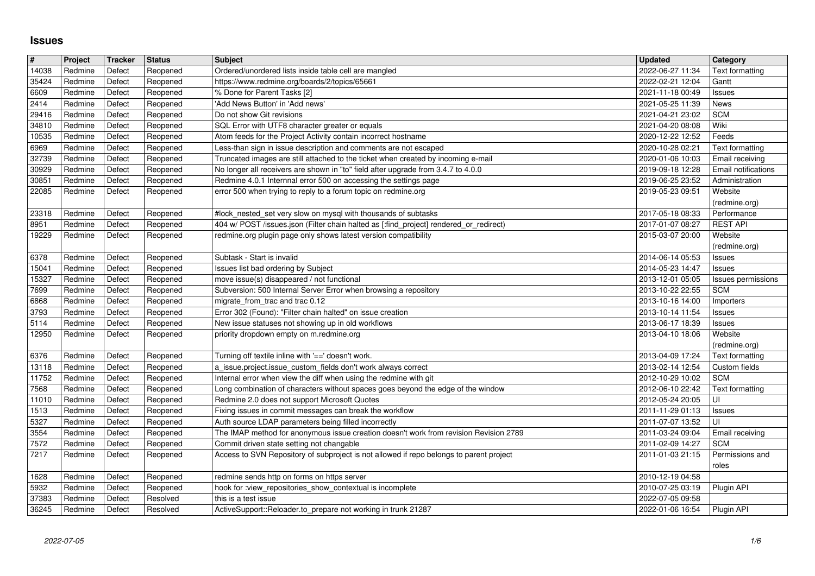## **Issues**

| Reopened<br>2022-02-21 12:04<br>Redmine<br>Defect<br>https://www.redmine.org/boards/2/topics/65661<br>Gantt<br>Redmine<br>Defect<br>Reopened<br>% Done for Parent Tasks [2]<br>2021-11-18 00:49<br>Issues<br>$\sqrt{2414}$<br>Redmine<br>Defect<br>Reopened<br>'Add News Button' in 'Add news'<br>2021-05-25 11:39<br>News<br>29416<br>Reopened<br>Do not show Git revisions<br>2021-04-21 23:02<br><b>SCM</b><br>Redmine<br>Defect<br>Redmine<br>Defect<br>Reopened<br>SQL Error with UTF8 character greater or equals<br>2021-04-20 08:08<br>Wiki<br>10535<br>Redmine<br>Defect<br>Reopened<br>Atom feeds for the Project Activity contain incorrect hostname<br>2020-12-22 12:52<br>Feeds<br>6969<br>Less-than sign in issue description and comments are not escaped<br>Redmine<br>Defect<br>Reopened<br>2020-10-28 02:21<br>Text formatting<br>Defect<br>Truncated images are still attached to the ticket when created by incoming e-mail<br>32739<br>Redmine<br>Reopened<br>2020-01-06 10:03<br>Email receiving<br>30929<br>Redmine<br>Defect<br>No longer all receivers are shown in "to" field after upgrade from 3.4.7 to 4.0.0<br>2019-09-18 12:28<br>Reopened<br><b>Email notifications</b><br>Reopened<br>Redmine 4.0.1 Internnal error 500 on accessing the settings page<br>2019-06-25 23:52<br>Administration<br>Redmine<br>Defect<br>error 500 when trying to reply to a forum topic on redmine.org<br>22085<br>Redmine<br>Defect<br>Reopened<br>2019-05-23 09:51<br>Website<br>(redmine.org)<br>Redmine<br>Defect<br>Reopened<br>#lock_nested_set very slow on mysql with thousands of subtasks<br>2017-05-18 08:33<br>Performance<br>404 w/ POST /issues.json (Filter chain halted as [:find_project] rendered_or_redirect)<br><b>REST API</b><br>8951<br>Redmine<br>Defect<br>Reopened<br>2017-01-07 08:27<br>19229<br>Reopened<br>redmine.org plugin page only shows latest version compatibility<br>Redmine<br>Defect<br>2015-03-07 20:00<br>Website<br>(redmine.org)<br>Redmine<br>Defect<br>Subtask - Start is invalid<br>Reopened<br>2014-06-14 05:53<br><b>Issues</b><br>Redmine<br>2014-05-23 14:47<br>15041<br>Defect<br>Reopened<br>Issues list bad ordering by Subject<br><b>Issues</b><br>15327<br>Redmine<br>Defect<br>Reopened<br>move issue(s) disappeared / not functional<br>2013-12-01 05:05<br>Issues permissions<br>Subversion: 500 Internal Server Error when browsing a repository<br><b>SCM</b><br>Redmine<br>Defect<br>Reopened<br>2013-10-22 22:55<br>6868<br>Redmine<br>Defect<br>Reopened<br>migrate_from_trac and trac 0.12<br>2013-10-16 14:00<br>Importers<br>$\boxed{3793}$<br>Redmine<br>Reopened<br>Error 302 (Found): "Filter chain halted" on issue creation<br>2013-10-14 11:54<br>Defect<br><b>Issues</b><br>New issue statuses not showing up in old workflows<br>Redmine<br>Defect<br>Reopened<br>2013-06-17 18:39<br>Issues<br>12950<br>Redmine<br>Defect<br>Reopened<br>priority dropdown empty on m.redmine.org<br>2013-04-10 18:06<br>Website<br>(redmine.org)<br>Redmine<br>Turning off textile inline with '==' doesn't work.<br>2013-04-09 17:24<br>6376<br>Defect<br>Reopened<br>Text formatting<br>13118<br>Defect<br>2013-02-14 12:54<br>Custom fields<br>Redmine<br>Reopened<br>a_issue.project.issue_custom_fields don't work always correct<br>11752<br>Internal error when view the diff when using the redmine with git<br><b>SCM</b><br>Redmine<br>Defect<br>Reopened<br>2012-10-29 10:02<br>7568<br>Reopened<br>Long combination of characters without spaces goes beyond the edge of the window<br>2012-06-10 22:42<br>Redmine<br>Defect<br>Text formatting<br>Redmine 2.0 does not support Microsoft Quotes<br>11010<br>Redmine<br>Reopened<br>2012-05-24 20:05<br>UI<br>Defect<br>Fixing issues in commit messages can break the workflow<br>1513<br>Redmine<br>Reopened<br>Defect<br>2011-11-29 01:13<br><b>Issues</b><br>Auth source LDAP parameters being filled incorrectly<br>Redmine<br>Reopened<br>2011-07-07 13:52<br>UI<br>Defect<br>The IMAP method for anonymous issue creation doesn't work from revision Revision 2789<br>Reopened<br>Redmine<br>Defect<br>2011-03-24 09:04<br>Email receiving<br>7572<br>Commit driven state setting not changable<br><b>SCM</b><br>Redmine<br>Defect<br>Reopened<br>2011-02-09 14:27<br>Access to SVN Repository of subproject is not allowed if repo belongs to parent project<br>Permissions and<br>Redmine<br>Defect<br>2011-01-03 21:15<br>Reopened<br>roles<br>1628<br>Redmine<br>Defect<br>2010-12-19 04:58<br>Reopened<br>redmine sends http on forms on https server<br>5932<br>Redmine<br>Defect<br>Reopened<br>hook for :view_repositories_show_contextual is incomplete<br>37383<br>2022-07-05 09:58<br>Redmine<br>Defect<br>Resolved<br>this is a test issue<br>ActiveSupport::Reloader.to_prepare not working in trunk 21287<br>Defect<br>Resolved<br>2022-01-06 16:54<br>Plugin API<br>Redmine<br>1/6<br>2022-07-05 | $\sqrt{\frac{4}{15}}$ | Project | <b>Tracker</b> | <b>Status</b> | <b>Subject</b>                                        | <b>Updated</b>   | Category        |
|----------------------------------------------------------------------------------------------------------------------------------------------------------------------------------------------------------------------------------------------------------------------------------------------------------------------------------------------------------------------------------------------------------------------------------------------------------------------------------------------------------------------------------------------------------------------------------------------------------------------------------------------------------------------------------------------------------------------------------------------------------------------------------------------------------------------------------------------------------------------------------------------------------------------------------------------------------------------------------------------------------------------------------------------------------------------------------------------------------------------------------------------------------------------------------------------------------------------------------------------------------------------------------------------------------------------------------------------------------------------------------------------------------------------------------------------------------------------------------------------------------------------------------------------------------------------------------------------------------------------------------------------------------------------------------------------------------------------------------------------------------------------------------------------------------------------------------------------------------------------------------------------------------------------------------------------------------------------------------------------------------------------------------------------------------------------------------------------------------------------------------------------------------------------------------------------------------------------------------------------------------------------------------------------------------------------------------------------------------------------------------------------------------------------------------------------------------------------------------------------------------------------------------------------------------------------------------------------------------------------------------------------------------------------------------------------------------------------------------------------------------------------------------------------------------------------------------------------------------------------------------------------------------------------------------------------------------------------------------------------------------------------------------------------------------------------------------------------------------------------------------------------------------------------------------------------------------------------------------------------------------------------------------------------------------------------------------------------------------------------------------------------------------------------------------------------------------------------------------------------------------------------------------------------------------------------------------------------------------------------------------------------------------------------------------------------------------------------------------------------------------------------------------------------------------------------------------------------------------------------------------------------------------------------------------------------------------------------------------------------------------------------------------------------------------------------------------------------------------------------------------------------------------------------------------------------------------------------------------------------------------------------------------------------------------------------------------------------------------------------------------------------------------------------------------------------------------------------------------------------------------------------------------------------------------------------------------------------------------------------------------------------------------------------------------------------------------------------------------------------------------------------------------------------------------------------------------------------------------------------------------------------------------------------------------------------------------------|-----------------------|---------|----------------|---------------|-------------------------------------------------------|------------------|-----------------|
|                                                                                                                                                                                                                                                                                                                                                                                                                                                                                                                                                                                                                                                                                                                                                                                                                                                                                                                                                                                                                                                                                                                                                                                                                                                                                                                                                                                                                                                                                                                                                                                                                                                                                                                                                                                                                                                                                                                                                                                                                                                                                                                                                                                                                                                                                                                                                                                                                                                                                                                                                                                                                                                                                                                                                                                                                                                                                                                                                                                                                                                                                                                                                                                                                                                                                                                                                                                                                                                                                                                                                                                                                                                                                                                                                                                                                                                                                                                                                                                                                                                                                                                                                                                                                                                                                                                                                                                                                                                                                                                                                                                                                                                                                                                                                                                                                                                                                                                                                                | 14038<br>35424        | Redmine | Defect         | Reopened      | Ordered/unordered lists inside table cell are mangled | 2022-06-27 11:34 | Text formatting |
|                                                                                                                                                                                                                                                                                                                                                                                                                                                                                                                                                                                                                                                                                                                                                                                                                                                                                                                                                                                                                                                                                                                                                                                                                                                                                                                                                                                                                                                                                                                                                                                                                                                                                                                                                                                                                                                                                                                                                                                                                                                                                                                                                                                                                                                                                                                                                                                                                                                                                                                                                                                                                                                                                                                                                                                                                                                                                                                                                                                                                                                                                                                                                                                                                                                                                                                                                                                                                                                                                                                                                                                                                                                                                                                                                                                                                                                                                                                                                                                                                                                                                                                                                                                                                                                                                                                                                                                                                                                                                                                                                                                                                                                                                                                                                                                                                                                                                                                                                                | 6609                  |         |                |               |                                                       |                  |                 |
|                                                                                                                                                                                                                                                                                                                                                                                                                                                                                                                                                                                                                                                                                                                                                                                                                                                                                                                                                                                                                                                                                                                                                                                                                                                                                                                                                                                                                                                                                                                                                                                                                                                                                                                                                                                                                                                                                                                                                                                                                                                                                                                                                                                                                                                                                                                                                                                                                                                                                                                                                                                                                                                                                                                                                                                                                                                                                                                                                                                                                                                                                                                                                                                                                                                                                                                                                                                                                                                                                                                                                                                                                                                                                                                                                                                                                                                                                                                                                                                                                                                                                                                                                                                                                                                                                                                                                                                                                                                                                                                                                                                                                                                                                                                                                                                                                                                                                                                                                                |                       |         |                |               |                                                       |                  |                 |
|                                                                                                                                                                                                                                                                                                                                                                                                                                                                                                                                                                                                                                                                                                                                                                                                                                                                                                                                                                                                                                                                                                                                                                                                                                                                                                                                                                                                                                                                                                                                                                                                                                                                                                                                                                                                                                                                                                                                                                                                                                                                                                                                                                                                                                                                                                                                                                                                                                                                                                                                                                                                                                                                                                                                                                                                                                                                                                                                                                                                                                                                                                                                                                                                                                                                                                                                                                                                                                                                                                                                                                                                                                                                                                                                                                                                                                                                                                                                                                                                                                                                                                                                                                                                                                                                                                                                                                                                                                                                                                                                                                                                                                                                                                                                                                                                                                                                                                                                                                | 34810                 |         |                |               |                                                       |                  |                 |
|                                                                                                                                                                                                                                                                                                                                                                                                                                                                                                                                                                                                                                                                                                                                                                                                                                                                                                                                                                                                                                                                                                                                                                                                                                                                                                                                                                                                                                                                                                                                                                                                                                                                                                                                                                                                                                                                                                                                                                                                                                                                                                                                                                                                                                                                                                                                                                                                                                                                                                                                                                                                                                                                                                                                                                                                                                                                                                                                                                                                                                                                                                                                                                                                                                                                                                                                                                                                                                                                                                                                                                                                                                                                                                                                                                                                                                                                                                                                                                                                                                                                                                                                                                                                                                                                                                                                                                                                                                                                                                                                                                                                                                                                                                                                                                                                                                                                                                                                                                |                       |         |                |               |                                                       |                  |                 |
|                                                                                                                                                                                                                                                                                                                                                                                                                                                                                                                                                                                                                                                                                                                                                                                                                                                                                                                                                                                                                                                                                                                                                                                                                                                                                                                                                                                                                                                                                                                                                                                                                                                                                                                                                                                                                                                                                                                                                                                                                                                                                                                                                                                                                                                                                                                                                                                                                                                                                                                                                                                                                                                                                                                                                                                                                                                                                                                                                                                                                                                                                                                                                                                                                                                                                                                                                                                                                                                                                                                                                                                                                                                                                                                                                                                                                                                                                                                                                                                                                                                                                                                                                                                                                                                                                                                                                                                                                                                                                                                                                                                                                                                                                                                                                                                                                                                                                                                                                                |                       |         |                |               |                                                       |                  |                 |
|                                                                                                                                                                                                                                                                                                                                                                                                                                                                                                                                                                                                                                                                                                                                                                                                                                                                                                                                                                                                                                                                                                                                                                                                                                                                                                                                                                                                                                                                                                                                                                                                                                                                                                                                                                                                                                                                                                                                                                                                                                                                                                                                                                                                                                                                                                                                                                                                                                                                                                                                                                                                                                                                                                                                                                                                                                                                                                                                                                                                                                                                                                                                                                                                                                                                                                                                                                                                                                                                                                                                                                                                                                                                                                                                                                                                                                                                                                                                                                                                                                                                                                                                                                                                                                                                                                                                                                                                                                                                                                                                                                                                                                                                                                                                                                                                                                                                                                                                                                |                       |         |                |               |                                                       |                  |                 |
|                                                                                                                                                                                                                                                                                                                                                                                                                                                                                                                                                                                                                                                                                                                                                                                                                                                                                                                                                                                                                                                                                                                                                                                                                                                                                                                                                                                                                                                                                                                                                                                                                                                                                                                                                                                                                                                                                                                                                                                                                                                                                                                                                                                                                                                                                                                                                                                                                                                                                                                                                                                                                                                                                                                                                                                                                                                                                                                                                                                                                                                                                                                                                                                                                                                                                                                                                                                                                                                                                                                                                                                                                                                                                                                                                                                                                                                                                                                                                                                                                                                                                                                                                                                                                                                                                                                                                                                                                                                                                                                                                                                                                                                                                                                                                                                                                                                                                                                                                                | 30851                 |         |                |               |                                                       |                  |                 |
|                                                                                                                                                                                                                                                                                                                                                                                                                                                                                                                                                                                                                                                                                                                                                                                                                                                                                                                                                                                                                                                                                                                                                                                                                                                                                                                                                                                                                                                                                                                                                                                                                                                                                                                                                                                                                                                                                                                                                                                                                                                                                                                                                                                                                                                                                                                                                                                                                                                                                                                                                                                                                                                                                                                                                                                                                                                                                                                                                                                                                                                                                                                                                                                                                                                                                                                                                                                                                                                                                                                                                                                                                                                                                                                                                                                                                                                                                                                                                                                                                                                                                                                                                                                                                                                                                                                                                                                                                                                                                                                                                                                                                                                                                                                                                                                                                                                                                                                                                                |                       |         |                |               |                                                       |                  |                 |
|                                                                                                                                                                                                                                                                                                                                                                                                                                                                                                                                                                                                                                                                                                                                                                                                                                                                                                                                                                                                                                                                                                                                                                                                                                                                                                                                                                                                                                                                                                                                                                                                                                                                                                                                                                                                                                                                                                                                                                                                                                                                                                                                                                                                                                                                                                                                                                                                                                                                                                                                                                                                                                                                                                                                                                                                                                                                                                                                                                                                                                                                                                                                                                                                                                                                                                                                                                                                                                                                                                                                                                                                                                                                                                                                                                                                                                                                                                                                                                                                                                                                                                                                                                                                                                                                                                                                                                                                                                                                                                                                                                                                                                                                                                                                                                                                                                                                                                                                                                | 23318                 |         |                |               |                                                       |                  |                 |
|                                                                                                                                                                                                                                                                                                                                                                                                                                                                                                                                                                                                                                                                                                                                                                                                                                                                                                                                                                                                                                                                                                                                                                                                                                                                                                                                                                                                                                                                                                                                                                                                                                                                                                                                                                                                                                                                                                                                                                                                                                                                                                                                                                                                                                                                                                                                                                                                                                                                                                                                                                                                                                                                                                                                                                                                                                                                                                                                                                                                                                                                                                                                                                                                                                                                                                                                                                                                                                                                                                                                                                                                                                                                                                                                                                                                                                                                                                                                                                                                                                                                                                                                                                                                                                                                                                                                                                                                                                                                                                                                                                                                                                                                                                                                                                                                                                                                                                                                                                |                       |         |                |               |                                                       |                  |                 |
|                                                                                                                                                                                                                                                                                                                                                                                                                                                                                                                                                                                                                                                                                                                                                                                                                                                                                                                                                                                                                                                                                                                                                                                                                                                                                                                                                                                                                                                                                                                                                                                                                                                                                                                                                                                                                                                                                                                                                                                                                                                                                                                                                                                                                                                                                                                                                                                                                                                                                                                                                                                                                                                                                                                                                                                                                                                                                                                                                                                                                                                                                                                                                                                                                                                                                                                                                                                                                                                                                                                                                                                                                                                                                                                                                                                                                                                                                                                                                                                                                                                                                                                                                                                                                                                                                                                                                                                                                                                                                                                                                                                                                                                                                                                                                                                                                                                                                                                                                                |                       |         |                |               |                                                       |                  |                 |
|                                                                                                                                                                                                                                                                                                                                                                                                                                                                                                                                                                                                                                                                                                                                                                                                                                                                                                                                                                                                                                                                                                                                                                                                                                                                                                                                                                                                                                                                                                                                                                                                                                                                                                                                                                                                                                                                                                                                                                                                                                                                                                                                                                                                                                                                                                                                                                                                                                                                                                                                                                                                                                                                                                                                                                                                                                                                                                                                                                                                                                                                                                                                                                                                                                                                                                                                                                                                                                                                                                                                                                                                                                                                                                                                                                                                                                                                                                                                                                                                                                                                                                                                                                                                                                                                                                                                                                                                                                                                                                                                                                                                                                                                                                                                                                                                                                                                                                                                                                | 6378                  |         |                |               |                                                       |                  |                 |
|                                                                                                                                                                                                                                                                                                                                                                                                                                                                                                                                                                                                                                                                                                                                                                                                                                                                                                                                                                                                                                                                                                                                                                                                                                                                                                                                                                                                                                                                                                                                                                                                                                                                                                                                                                                                                                                                                                                                                                                                                                                                                                                                                                                                                                                                                                                                                                                                                                                                                                                                                                                                                                                                                                                                                                                                                                                                                                                                                                                                                                                                                                                                                                                                                                                                                                                                                                                                                                                                                                                                                                                                                                                                                                                                                                                                                                                                                                                                                                                                                                                                                                                                                                                                                                                                                                                                                                                                                                                                                                                                                                                                                                                                                                                                                                                                                                                                                                                                                                |                       |         |                |               |                                                       |                  |                 |
|                                                                                                                                                                                                                                                                                                                                                                                                                                                                                                                                                                                                                                                                                                                                                                                                                                                                                                                                                                                                                                                                                                                                                                                                                                                                                                                                                                                                                                                                                                                                                                                                                                                                                                                                                                                                                                                                                                                                                                                                                                                                                                                                                                                                                                                                                                                                                                                                                                                                                                                                                                                                                                                                                                                                                                                                                                                                                                                                                                                                                                                                                                                                                                                                                                                                                                                                                                                                                                                                                                                                                                                                                                                                                                                                                                                                                                                                                                                                                                                                                                                                                                                                                                                                                                                                                                                                                                                                                                                                                                                                                                                                                                                                                                                                                                                                                                                                                                                                                                | 7699                  |         |                |               |                                                       |                  |                 |
|                                                                                                                                                                                                                                                                                                                                                                                                                                                                                                                                                                                                                                                                                                                                                                                                                                                                                                                                                                                                                                                                                                                                                                                                                                                                                                                                                                                                                                                                                                                                                                                                                                                                                                                                                                                                                                                                                                                                                                                                                                                                                                                                                                                                                                                                                                                                                                                                                                                                                                                                                                                                                                                                                                                                                                                                                                                                                                                                                                                                                                                                                                                                                                                                                                                                                                                                                                                                                                                                                                                                                                                                                                                                                                                                                                                                                                                                                                                                                                                                                                                                                                                                                                                                                                                                                                                                                                                                                                                                                                                                                                                                                                                                                                                                                                                                                                                                                                                                                                |                       |         |                |               |                                                       |                  |                 |
|                                                                                                                                                                                                                                                                                                                                                                                                                                                                                                                                                                                                                                                                                                                                                                                                                                                                                                                                                                                                                                                                                                                                                                                                                                                                                                                                                                                                                                                                                                                                                                                                                                                                                                                                                                                                                                                                                                                                                                                                                                                                                                                                                                                                                                                                                                                                                                                                                                                                                                                                                                                                                                                                                                                                                                                                                                                                                                                                                                                                                                                                                                                                                                                                                                                                                                                                                                                                                                                                                                                                                                                                                                                                                                                                                                                                                                                                                                                                                                                                                                                                                                                                                                                                                                                                                                                                                                                                                                                                                                                                                                                                                                                                                                                                                                                                                                                                                                                                                                | 5114                  |         |                |               |                                                       |                  |                 |
|                                                                                                                                                                                                                                                                                                                                                                                                                                                                                                                                                                                                                                                                                                                                                                                                                                                                                                                                                                                                                                                                                                                                                                                                                                                                                                                                                                                                                                                                                                                                                                                                                                                                                                                                                                                                                                                                                                                                                                                                                                                                                                                                                                                                                                                                                                                                                                                                                                                                                                                                                                                                                                                                                                                                                                                                                                                                                                                                                                                                                                                                                                                                                                                                                                                                                                                                                                                                                                                                                                                                                                                                                                                                                                                                                                                                                                                                                                                                                                                                                                                                                                                                                                                                                                                                                                                                                                                                                                                                                                                                                                                                                                                                                                                                                                                                                                                                                                                                                                |                       |         |                |               |                                                       |                  |                 |
|                                                                                                                                                                                                                                                                                                                                                                                                                                                                                                                                                                                                                                                                                                                                                                                                                                                                                                                                                                                                                                                                                                                                                                                                                                                                                                                                                                                                                                                                                                                                                                                                                                                                                                                                                                                                                                                                                                                                                                                                                                                                                                                                                                                                                                                                                                                                                                                                                                                                                                                                                                                                                                                                                                                                                                                                                                                                                                                                                                                                                                                                                                                                                                                                                                                                                                                                                                                                                                                                                                                                                                                                                                                                                                                                                                                                                                                                                                                                                                                                                                                                                                                                                                                                                                                                                                                                                                                                                                                                                                                                                                                                                                                                                                                                                                                                                                                                                                                                                                |                       |         |                |               |                                                       |                  |                 |
|                                                                                                                                                                                                                                                                                                                                                                                                                                                                                                                                                                                                                                                                                                                                                                                                                                                                                                                                                                                                                                                                                                                                                                                                                                                                                                                                                                                                                                                                                                                                                                                                                                                                                                                                                                                                                                                                                                                                                                                                                                                                                                                                                                                                                                                                                                                                                                                                                                                                                                                                                                                                                                                                                                                                                                                                                                                                                                                                                                                                                                                                                                                                                                                                                                                                                                                                                                                                                                                                                                                                                                                                                                                                                                                                                                                                                                                                                                                                                                                                                                                                                                                                                                                                                                                                                                                                                                                                                                                                                                                                                                                                                                                                                                                                                                                                                                                                                                                                                                |                       |         |                |               |                                                       |                  |                 |
|                                                                                                                                                                                                                                                                                                                                                                                                                                                                                                                                                                                                                                                                                                                                                                                                                                                                                                                                                                                                                                                                                                                                                                                                                                                                                                                                                                                                                                                                                                                                                                                                                                                                                                                                                                                                                                                                                                                                                                                                                                                                                                                                                                                                                                                                                                                                                                                                                                                                                                                                                                                                                                                                                                                                                                                                                                                                                                                                                                                                                                                                                                                                                                                                                                                                                                                                                                                                                                                                                                                                                                                                                                                                                                                                                                                                                                                                                                                                                                                                                                                                                                                                                                                                                                                                                                                                                                                                                                                                                                                                                                                                                                                                                                                                                                                                                                                                                                                                                                |                       |         |                |               |                                                       |                  |                 |
|                                                                                                                                                                                                                                                                                                                                                                                                                                                                                                                                                                                                                                                                                                                                                                                                                                                                                                                                                                                                                                                                                                                                                                                                                                                                                                                                                                                                                                                                                                                                                                                                                                                                                                                                                                                                                                                                                                                                                                                                                                                                                                                                                                                                                                                                                                                                                                                                                                                                                                                                                                                                                                                                                                                                                                                                                                                                                                                                                                                                                                                                                                                                                                                                                                                                                                                                                                                                                                                                                                                                                                                                                                                                                                                                                                                                                                                                                                                                                                                                                                                                                                                                                                                                                                                                                                                                                                                                                                                                                                                                                                                                                                                                                                                                                                                                                                                                                                                                                                |                       |         |                |               |                                                       |                  |                 |
|                                                                                                                                                                                                                                                                                                                                                                                                                                                                                                                                                                                                                                                                                                                                                                                                                                                                                                                                                                                                                                                                                                                                                                                                                                                                                                                                                                                                                                                                                                                                                                                                                                                                                                                                                                                                                                                                                                                                                                                                                                                                                                                                                                                                                                                                                                                                                                                                                                                                                                                                                                                                                                                                                                                                                                                                                                                                                                                                                                                                                                                                                                                                                                                                                                                                                                                                                                                                                                                                                                                                                                                                                                                                                                                                                                                                                                                                                                                                                                                                                                                                                                                                                                                                                                                                                                                                                                                                                                                                                                                                                                                                                                                                                                                                                                                                                                                                                                                                                                |                       |         |                |               |                                                       |                  |                 |
|                                                                                                                                                                                                                                                                                                                                                                                                                                                                                                                                                                                                                                                                                                                                                                                                                                                                                                                                                                                                                                                                                                                                                                                                                                                                                                                                                                                                                                                                                                                                                                                                                                                                                                                                                                                                                                                                                                                                                                                                                                                                                                                                                                                                                                                                                                                                                                                                                                                                                                                                                                                                                                                                                                                                                                                                                                                                                                                                                                                                                                                                                                                                                                                                                                                                                                                                                                                                                                                                                                                                                                                                                                                                                                                                                                                                                                                                                                                                                                                                                                                                                                                                                                                                                                                                                                                                                                                                                                                                                                                                                                                                                                                                                                                                                                                                                                                                                                                                                                | 5327                  |         |                |               |                                                       |                  |                 |
|                                                                                                                                                                                                                                                                                                                                                                                                                                                                                                                                                                                                                                                                                                                                                                                                                                                                                                                                                                                                                                                                                                                                                                                                                                                                                                                                                                                                                                                                                                                                                                                                                                                                                                                                                                                                                                                                                                                                                                                                                                                                                                                                                                                                                                                                                                                                                                                                                                                                                                                                                                                                                                                                                                                                                                                                                                                                                                                                                                                                                                                                                                                                                                                                                                                                                                                                                                                                                                                                                                                                                                                                                                                                                                                                                                                                                                                                                                                                                                                                                                                                                                                                                                                                                                                                                                                                                                                                                                                                                                                                                                                                                                                                                                                                                                                                                                                                                                                                                                | 3554                  |         |                |               |                                                       |                  |                 |
|                                                                                                                                                                                                                                                                                                                                                                                                                                                                                                                                                                                                                                                                                                                                                                                                                                                                                                                                                                                                                                                                                                                                                                                                                                                                                                                                                                                                                                                                                                                                                                                                                                                                                                                                                                                                                                                                                                                                                                                                                                                                                                                                                                                                                                                                                                                                                                                                                                                                                                                                                                                                                                                                                                                                                                                                                                                                                                                                                                                                                                                                                                                                                                                                                                                                                                                                                                                                                                                                                                                                                                                                                                                                                                                                                                                                                                                                                                                                                                                                                                                                                                                                                                                                                                                                                                                                                                                                                                                                                                                                                                                                                                                                                                                                                                                                                                                                                                                                                                | 7217                  |         |                |               |                                                       |                  |                 |
|                                                                                                                                                                                                                                                                                                                                                                                                                                                                                                                                                                                                                                                                                                                                                                                                                                                                                                                                                                                                                                                                                                                                                                                                                                                                                                                                                                                                                                                                                                                                                                                                                                                                                                                                                                                                                                                                                                                                                                                                                                                                                                                                                                                                                                                                                                                                                                                                                                                                                                                                                                                                                                                                                                                                                                                                                                                                                                                                                                                                                                                                                                                                                                                                                                                                                                                                                                                                                                                                                                                                                                                                                                                                                                                                                                                                                                                                                                                                                                                                                                                                                                                                                                                                                                                                                                                                                                                                                                                                                                                                                                                                                                                                                                                                                                                                                                                                                                                                                                |                       |         |                |               |                                                       |                  |                 |
|                                                                                                                                                                                                                                                                                                                                                                                                                                                                                                                                                                                                                                                                                                                                                                                                                                                                                                                                                                                                                                                                                                                                                                                                                                                                                                                                                                                                                                                                                                                                                                                                                                                                                                                                                                                                                                                                                                                                                                                                                                                                                                                                                                                                                                                                                                                                                                                                                                                                                                                                                                                                                                                                                                                                                                                                                                                                                                                                                                                                                                                                                                                                                                                                                                                                                                                                                                                                                                                                                                                                                                                                                                                                                                                                                                                                                                                                                                                                                                                                                                                                                                                                                                                                                                                                                                                                                                                                                                                                                                                                                                                                                                                                                                                                                                                                                                                                                                                                                                |                       |         |                |               |                                                       |                  |                 |
|                                                                                                                                                                                                                                                                                                                                                                                                                                                                                                                                                                                                                                                                                                                                                                                                                                                                                                                                                                                                                                                                                                                                                                                                                                                                                                                                                                                                                                                                                                                                                                                                                                                                                                                                                                                                                                                                                                                                                                                                                                                                                                                                                                                                                                                                                                                                                                                                                                                                                                                                                                                                                                                                                                                                                                                                                                                                                                                                                                                                                                                                                                                                                                                                                                                                                                                                                                                                                                                                                                                                                                                                                                                                                                                                                                                                                                                                                                                                                                                                                                                                                                                                                                                                                                                                                                                                                                                                                                                                                                                                                                                                                                                                                                                                                                                                                                                                                                                                                                |                       |         |                |               |                                                       |                  |                 |
|                                                                                                                                                                                                                                                                                                                                                                                                                                                                                                                                                                                                                                                                                                                                                                                                                                                                                                                                                                                                                                                                                                                                                                                                                                                                                                                                                                                                                                                                                                                                                                                                                                                                                                                                                                                                                                                                                                                                                                                                                                                                                                                                                                                                                                                                                                                                                                                                                                                                                                                                                                                                                                                                                                                                                                                                                                                                                                                                                                                                                                                                                                                                                                                                                                                                                                                                                                                                                                                                                                                                                                                                                                                                                                                                                                                                                                                                                                                                                                                                                                                                                                                                                                                                                                                                                                                                                                                                                                                                                                                                                                                                                                                                                                                                                                                                                                                                                                                                                                | 36245                 |         |                |               |                                                       |                  |                 |
|                                                                                                                                                                                                                                                                                                                                                                                                                                                                                                                                                                                                                                                                                                                                                                                                                                                                                                                                                                                                                                                                                                                                                                                                                                                                                                                                                                                                                                                                                                                                                                                                                                                                                                                                                                                                                                                                                                                                                                                                                                                                                                                                                                                                                                                                                                                                                                                                                                                                                                                                                                                                                                                                                                                                                                                                                                                                                                                                                                                                                                                                                                                                                                                                                                                                                                                                                                                                                                                                                                                                                                                                                                                                                                                                                                                                                                                                                                                                                                                                                                                                                                                                                                                                                                                                                                                                                                                                                                                                                                                                                                                                                                                                                                                                                                                                                                                                                                                                                                |                       |         |                |               |                                                       |                  |                 |
|                                                                                                                                                                                                                                                                                                                                                                                                                                                                                                                                                                                                                                                                                                                                                                                                                                                                                                                                                                                                                                                                                                                                                                                                                                                                                                                                                                                                                                                                                                                                                                                                                                                                                                                                                                                                                                                                                                                                                                                                                                                                                                                                                                                                                                                                                                                                                                                                                                                                                                                                                                                                                                                                                                                                                                                                                                                                                                                                                                                                                                                                                                                                                                                                                                                                                                                                                                                                                                                                                                                                                                                                                                                                                                                                                                                                                                                                                                                                                                                                                                                                                                                                                                                                                                                                                                                                                                                                                                                                                                                                                                                                                                                                                                                                                                                                                                                                                                                                                                |                       |         |                |               |                                                       |                  |                 |
|                                                                                                                                                                                                                                                                                                                                                                                                                                                                                                                                                                                                                                                                                                                                                                                                                                                                                                                                                                                                                                                                                                                                                                                                                                                                                                                                                                                                                                                                                                                                                                                                                                                                                                                                                                                                                                                                                                                                                                                                                                                                                                                                                                                                                                                                                                                                                                                                                                                                                                                                                                                                                                                                                                                                                                                                                                                                                                                                                                                                                                                                                                                                                                                                                                                                                                                                                                                                                                                                                                                                                                                                                                                                                                                                                                                                                                                                                                                                                                                                                                                                                                                                                                                                                                                                                                                                                                                                                                                                                                                                                                                                                                                                                                                                                                                                                                                                                                                                                                |                       |         |                |               |                                                       |                  |                 |
|                                                                                                                                                                                                                                                                                                                                                                                                                                                                                                                                                                                                                                                                                                                                                                                                                                                                                                                                                                                                                                                                                                                                                                                                                                                                                                                                                                                                                                                                                                                                                                                                                                                                                                                                                                                                                                                                                                                                                                                                                                                                                                                                                                                                                                                                                                                                                                                                                                                                                                                                                                                                                                                                                                                                                                                                                                                                                                                                                                                                                                                                                                                                                                                                                                                                                                                                                                                                                                                                                                                                                                                                                                                                                                                                                                                                                                                                                                                                                                                                                                                                                                                                                                                                                                                                                                                                                                                                                                                                                                                                                                                                                                                                                                                                                                                                                                                                                                                                                                |                       |         |                |               |                                                       |                  |                 |
|                                                                                                                                                                                                                                                                                                                                                                                                                                                                                                                                                                                                                                                                                                                                                                                                                                                                                                                                                                                                                                                                                                                                                                                                                                                                                                                                                                                                                                                                                                                                                                                                                                                                                                                                                                                                                                                                                                                                                                                                                                                                                                                                                                                                                                                                                                                                                                                                                                                                                                                                                                                                                                                                                                                                                                                                                                                                                                                                                                                                                                                                                                                                                                                                                                                                                                                                                                                                                                                                                                                                                                                                                                                                                                                                                                                                                                                                                                                                                                                                                                                                                                                                                                                                                                                                                                                                                                                                                                                                                                                                                                                                                                                                                                                                                                                                                                                                                                                                                                |                       |         |                |               |                                                       |                  |                 |
|                                                                                                                                                                                                                                                                                                                                                                                                                                                                                                                                                                                                                                                                                                                                                                                                                                                                                                                                                                                                                                                                                                                                                                                                                                                                                                                                                                                                                                                                                                                                                                                                                                                                                                                                                                                                                                                                                                                                                                                                                                                                                                                                                                                                                                                                                                                                                                                                                                                                                                                                                                                                                                                                                                                                                                                                                                                                                                                                                                                                                                                                                                                                                                                                                                                                                                                                                                                                                                                                                                                                                                                                                                                                                                                                                                                                                                                                                                                                                                                                                                                                                                                                                                                                                                                                                                                                                                                                                                                                                                                                                                                                                                                                                                                                                                                                                                                                                                                                                                |                       |         |                |               |                                                       |                  |                 |
|                                                                                                                                                                                                                                                                                                                                                                                                                                                                                                                                                                                                                                                                                                                                                                                                                                                                                                                                                                                                                                                                                                                                                                                                                                                                                                                                                                                                                                                                                                                                                                                                                                                                                                                                                                                                                                                                                                                                                                                                                                                                                                                                                                                                                                                                                                                                                                                                                                                                                                                                                                                                                                                                                                                                                                                                                                                                                                                                                                                                                                                                                                                                                                                                                                                                                                                                                                                                                                                                                                                                                                                                                                                                                                                                                                                                                                                                                                                                                                                                                                                                                                                                                                                                                                                                                                                                                                                                                                                                                                                                                                                                                                                                                                                                                                                                                                                                                                                                                                |                       |         |                |               |                                                       |                  |                 |
|                                                                                                                                                                                                                                                                                                                                                                                                                                                                                                                                                                                                                                                                                                                                                                                                                                                                                                                                                                                                                                                                                                                                                                                                                                                                                                                                                                                                                                                                                                                                                                                                                                                                                                                                                                                                                                                                                                                                                                                                                                                                                                                                                                                                                                                                                                                                                                                                                                                                                                                                                                                                                                                                                                                                                                                                                                                                                                                                                                                                                                                                                                                                                                                                                                                                                                                                                                                                                                                                                                                                                                                                                                                                                                                                                                                                                                                                                                                                                                                                                                                                                                                                                                                                                                                                                                                                                                                                                                                                                                                                                                                                                                                                                                                                                                                                                                                                                                                                                                |                       |         |                |               |                                                       |                  |                 |
|                                                                                                                                                                                                                                                                                                                                                                                                                                                                                                                                                                                                                                                                                                                                                                                                                                                                                                                                                                                                                                                                                                                                                                                                                                                                                                                                                                                                                                                                                                                                                                                                                                                                                                                                                                                                                                                                                                                                                                                                                                                                                                                                                                                                                                                                                                                                                                                                                                                                                                                                                                                                                                                                                                                                                                                                                                                                                                                                                                                                                                                                                                                                                                                                                                                                                                                                                                                                                                                                                                                                                                                                                                                                                                                                                                                                                                                                                                                                                                                                                                                                                                                                                                                                                                                                                                                                                                                                                                                                                                                                                                                                                                                                                                                                                                                                                                                                                                                                                                |                       |         |                |               |                                                       |                  |                 |
|                                                                                                                                                                                                                                                                                                                                                                                                                                                                                                                                                                                                                                                                                                                                                                                                                                                                                                                                                                                                                                                                                                                                                                                                                                                                                                                                                                                                                                                                                                                                                                                                                                                                                                                                                                                                                                                                                                                                                                                                                                                                                                                                                                                                                                                                                                                                                                                                                                                                                                                                                                                                                                                                                                                                                                                                                                                                                                                                                                                                                                                                                                                                                                                                                                                                                                                                                                                                                                                                                                                                                                                                                                                                                                                                                                                                                                                                                                                                                                                                                                                                                                                                                                                                                                                                                                                                                                                                                                                                                                                                                                                                                                                                                                                                                                                                                                                                                                                                                                |                       |         |                |               |                                                       |                  |                 |
|                                                                                                                                                                                                                                                                                                                                                                                                                                                                                                                                                                                                                                                                                                                                                                                                                                                                                                                                                                                                                                                                                                                                                                                                                                                                                                                                                                                                                                                                                                                                                                                                                                                                                                                                                                                                                                                                                                                                                                                                                                                                                                                                                                                                                                                                                                                                                                                                                                                                                                                                                                                                                                                                                                                                                                                                                                                                                                                                                                                                                                                                                                                                                                                                                                                                                                                                                                                                                                                                                                                                                                                                                                                                                                                                                                                                                                                                                                                                                                                                                                                                                                                                                                                                                                                                                                                                                                                                                                                                                                                                                                                                                                                                                                                                                                                                                                                                                                                                                                |                       |         |                |               |                                                       |                  |                 |
|                                                                                                                                                                                                                                                                                                                                                                                                                                                                                                                                                                                                                                                                                                                                                                                                                                                                                                                                                                                                                                                                                                                                                                                                                                                                                                                                                                                                                                                                                                                                                                                                                                                                                                                                                                                                                                                                                                                                                                                                                                                                                                                                                                                                                                                                                                                                                                                                                                                                                                                                                                                                                                                                                                                                                                                                                                                                                                                                                                                                                                                                                                                                                                                                                                                                                                                                                                                                                                                                                                                                                                                                                                                                                                                                                                                                                                                                                                                                                                                                                                                                                                                                                                                                                                                                                                                                                                                                                                                                                                                                                                                                                                                                                                                                                                                                                                                                                                                                                                |                       |         |                |               |                                                       |                  |                 |
|                                                                                                                                                                                                                                                                                                                                                                                                                                                                                                                                                                                                                                                                                                                                                                                                                                                                                                                                                                                                                                                                                                                                                                                                                                                                                                                                                                                                                                                                                                                                                                                                                                                                                                                                                                                                                                                                                                                                                                                                                                                                                                                                                                                                                                                                                                                                                                                                                                                                                                                                                                                                                                                                                                                                                                                                                                                                                                                                                                                                                                                                                                                                                                                                                                                                                                                                                                                                                                                                                                                                                                                                                                                                                                                                                                                                                                                                                                                                                                                                                                                                                                                                                                                                                                                                                                                                                                                                                                                                                                                                                                                                                                                                                                                                                                                                                                                                                                                                                                |                       |         |                |               |                                                       |                  |                 |
|                                                                                                                                                                                                                                                                                                                                                                                                                                                                                                                                                                                                                                                                                                                                                                                                                                                                                                                                                                                                                                                                                                                                                                                                                                                                                                                                                                                                                                                                                                                                                                                                                                                                                                                                                                                                                                                                                                                                                                                                                                                                                                                                                                                                                                                                                                                                                                                                                                                                                                                                                                                                                                                                                                                                                                                                                                                                                                                                                                                                                                                                                                                                                                                                                                                                                                                                                                                                                                                                                                                                                                                                                                                                                                                                                                                                                                                                                                                                                                                                                                                                                                                                                                                                                                                                                                                                                                                                                                                                                                                                                                                                                                                                                                                                                                                                                                                                                                                                                                |                       |         |                |               |                                                       |                  |                 |
|                                                                                                                                                                                                                                                                                                                                                                                                                                                                                                                                                                                                                                                                                                                                                                                                                                                                                                                                                                                                                                                                                                                                                                                                                                                                                                                                                                                                                                                                                                                                                                                                                                                                                                                                                                                                                                                                                                                                                                                                                                                                                                                                                                                                                                                                                                                                                                                                                                                                                                                                                                                                                                                                                                                                                                                                                                                                                                                                                                                                                                                                                                                                                                                                                                                                                                                                                                                                                                                                                                                                                                                                                                                                                                                                                                                                                                                                                                                                                                                                                                                                                                                                                                                                                                                                                                                                                                                                                                                                                                                                                                                                                                                                                                                                                                                                                                                                                                                                                                |                       |         |                |               |                                                       |                  |                 |
|                                                                                                                                                                                                                                                                                                                                                                                                                                                                                                                                                                                                                                                                                                                                                                                                                                                                                                                                                                                                                                                                                                                                                                                                                                                                                                                                                                                                                                                                                                                                                                                                                                                                                                                                                                                                                                                                                                                                                                                                                                                                                                                                                                                                                                                                                                                                                                                                                                                                                                                                                                                                                                                                                                                                                                                                                                                                                                                                                                                                                                                                                                                                                                                                                                                                                                                                                                                                                                                                                                                                                                                                                                                                                                                                                                                                                                                                                                                                                                                                                                                                                                                                                                                                                                                                                                                                                                                                                                                                                                                                                                                                                                                                                                                                                                                                                                                                                                                                                                |                       |         |                |               |                                                       |                  |                 |
|                                                                                                                                                                                                                                                                                                                                                                                                                                                                                                                                                                                                                                                                                                                                                                                                                                                                                                                                                                                                                                                                                                                                                                                                                                                                                                                                                                                                                                                                                                                                                                                                                                                                                                                                                                                                                                                                                                                                                                                                                                                                                                                                                                                                                                                                                                                                                                                                                                                                                                                                                                                                                                                                                                                                                                                                                                                                                                                                                                                                                                                                                                                                                                                                                                                                                                                                                                                                                                                                                                                                                                                                                                                                                                                                                                                                                                                                                                                                                                                                                                                                                                                                                                                                                                                                                                                                                                                                                                                                                                                                                                                                                                                                                                                                                                                                                                                                                                                                                                |                       |         |                |               |                                                       |                  |                 |
|                                                                                                                                                                                                                                                                                                                                                                                                                                                                                                                                                                                                                                                                                                                                                                                                                                                                                                                                                                                                                                                                                                                                                                                                                                                                                                                                                                                                                                                                                                                                                                                                                                                                                                                                                                                                                                                                                                                                                                                                                                                                                                                                                                                                                                                                                                                                                                                                                                                                                                                                                                                                                                                                                                                                                                                                                                                                                                                                                                                                                                                                                                                                                                                                                                                                                                                                                                                                                                                                                                                                                                                                                                                                                                                                                                                                                                                                                                                                                                                                                                                                                                                                                                                                                                                                                                                                                                                                                                                                                                                                                                                                                                                                                                                                                                                                                                                                                                                                                                |                       |         |                |               |                                                       |                  |                 |
|                                                                                                                                                                                                                                                                                                                                                                                                                                                                                                                                                                                                                                                                                                                                                                                                                                                                                                                                                                                                                                                                                                                                                                                                                                                                                                                                                                                                                                                                                                                                                                                                                                                                                                                                                                                                                                                                                                                                                                                                                                                                                                                                                                                                                                                                                                                                                                                                                                                                                                                                                                                                                                                                                                                                                                                                                                                                                                                                                                                                                                                                                                                                                                                                                                                                                                                                                                                                                                                                                                                                                                                                                                                                                                                                                                                                                                                                                                                                                                                                                                                                                                                                                                                                                                                                                                                                                                                                                                                                                                                                                                                                                                                                                                                                                                                                                                                                                                                                                                |                       |         |                |               |                                                       |                  |                 |
|                                                                                                                                                                                                                                                                                                                                                                                                                                                                                                                                                                                                                                                                                                                                                                                                                                                                                                                                                                                                                                                                                                                                                                                                                                                                                                                                                                                                                                                                                                                                                                                                                                                                                                                                                                                                                                                                                                                                                                                                                                                                                                                                                                                                                                                                                                                                                                                                                                                                                                                                                                                                                                                                                                                                                                                                                                                                                                                                                                                                                                                                                                                                                                                                                                                                                                                                                                                                                                                                                                                                                                                                                                                                                                                                                                                                                                                                                                                                                                                                                                                                                                                                                                                                                                                                                                                                                                                                                                                                                                                                                                                                                                                                                                                                                                                                                                                                                                                                                                |                       |         |                |               |                                                       |                  |                 |
|                                                                                                                                                                                                                                                                                                                                                                                                                                                                                                                                                                                                                                                                                                                                                                                                                                                                                                                                                                                                                                                                                                                                                                                                                                                                                                                                                                                                                                                                                                                                                                                                                                                                                                                                                                                                                                                                                                                                                                                                                                                                                                                                                                                                                                                                                                                                                                                                                                                                                                                                                                                                                                                                                                                                                                                                                                                                                                                                                                                                                                                                                                                                                                                                                                                                                                                                                                                                                                                                                                                                                                                                                                                                                                                                                                                                                                                                                                                                                                                                                                                                                                                                                                                                                                                                                                                                                                                                                                                                                                                                                                                                                                                                                                                                                                                                                                                                                                                                                                |                       |         |                |               |                                                       |                  |                 |
|                                                                                                                                                                                                                                                                                                                                                                                                                                                                                                                                                                                                                                                                                                                                                                                                                                                                                                                                                                                                                                                                                                                                                                                                                                                                                                                                                                                                                                                                                                                                                                                                                                                                                                                                                                                                                                                                                                                                                                                                                                                                                                                                                                                                                                                                                                                                                                                                                                                                                                                                                                                                                                                                                                                                                                                                                                                                                                                                                                                                                                                                                                                                                                                                                                                                                                                                                                                                                                                                                                                                                                                                                                                                                                                                                                                                                                                                                                                                                                                                                                                                                                                                                                                                                                                                                                                                                                                                                                                                                                                                                                                                                                                                                                                                                                                                                                                                                                                                                                |                       |         |                |               |                                                       |                  |                 |
|                                                                                                                                                                                                                                                                                                                                                                                                                                                                                                                                                                                                                                                                                                                                                                                                                                                                                                                                                                                                                                                                                                                                                                                                                                                                                                                                                                                                                                                                                                                                                                                                                                                                                                                                                                                                                                                                                                                                                                                                                                                                                                                                                                                                                                                                                                                                                                                                                                                                                                                                                                                                                                                                                                                                                                                                                                                                                                                                                                                                                                                                                                                                                                                                                                                                                                                                                                                                                                                                                                                                                                                                                                                                                                                                                                                                                                                                                                                                                                                                                                                                                                                                                                                                                                                                                                                                                                                                                                                                                                                                                                                                                                                                                                                                                                                                                                                                                                                                                                |                       |         |                |               |                                                       |                  |                 |
|                                                                                                                                                                                                                                                                                                                                                                                                                                                                                                                                                                                                                                                                                                                                                                                                                                                                                                                                                                                                                                                                                                                                                                                                                                                                                                                                                                                                                                                                                                                                                                                                                                                                                                                                                                                                                                                                                                                                                                                                                                                                                                                                                                                                                                                                                                                                                                                                                                                                                                                                                                                                                                                                                                                                                                                                                                                                                                                                                                                                                                                                                                                                                                                                                                                                                                                                                                                                                                                                                                                                                                                                                                                                                                                                                                                                                                                                                                                                                                                                                                                                                                                                                                                                                                                                                                                                                                                                                                                                                                                                                                                                                                                                                                                                                                                                                                                                                                                                                                |                       |         |                |               |                                                       |                  |                 |
|                                                                                                                                                                                                                                                                                                                                                                                                                                                                                                                                                                                                                                                                                                                                                                                                                                                                                                                                                                                                                                                                                                                                                                                                                                                                                                                                                                                                                                                                                                                                                                                                                                                                                                                                                                                                                                                                                                                                                                                                                                                                                                                                                                                                                                                                                                                                                                                                                                                                                                                                                                                                                                                                                                                                                                                                                                                                                                                                                                                                                                                                                                                                                                                                                                                                                                                                                                                                                                                                                                                                                                                                                                                                                                                                                                                                                                                                                                                                                                                                                                                                                                                                                                                                                                                                                                                                                                                                                                                                                                                                                                                                                                                                                                                                                                                                                                                                                                                                                                |                       |         |                |               |                                                       |                  |                 |
|                                                                                                                                                                                                                                                                                                                                                                                                                                                                                                                                                                                                                                                                                                                                                                                                                                                                                                                                                                                                                                                                                                                                                                                                                                                                                                                                                                                                                                                                                                                                                                                                                                                                                                                                                                                                                                                                                                                                                                                                                                                                                                                                                                                                                                                                                                                                                                                                                                                                                                                                                                                                                                                                                                                                                                                                                                                                                                                                                                                                                                                                                                                                                                                                                                                                                                                                                                                                                                                                                                                                                                                                                                                                                                                                                                                                                                                                                                                                                                                                                                                                                                                                                                                                                                                                                                                                                                                                                                                                                                                                                                                                                                                                                                                                                                                                                                                                                                                                                                |                       |         |                |               |                                                       |                  |                 |
|                                                                                                                                                                                                                                                                                                                                                                                                                                                                                                                                                                                                                                                                                                                                                                                                                                                                                                                                                                                                                                                                                                                                                                                                                                                                                                                                                                                                                                                                                                                                                                                                                                                                                                                                                                                                                                                                                                                                                                                                                                                                                                                                                                                                                                                                                                                                                                                                                                                                                                                                                                                                                                                                                                                                                                                                                                                                                                                                                                                                                                                                                                                                                                                                                                                                                                                                                                                                                                                                                                                                                                                                                                                                                                                                                                                                                                                                                                                                                                                                                                                                                                                                                                                                                                                                                                                                                                                                                                                                                                                                                                                                                                                                                                                                                                                                                                                                                                                                                                |                       |         |                |               |                                                       |                  |                 |
|                                                                                                                                                                                                                                                                                                                                                                                                                                                                                                                                                                                                                                                                                                                                                                                                                                                                                                                                                                                                                                                                                                                                                                                                                                                                                                                                                                                                                                                                                                                                                                                                                                                                                                                                                                                                                                                                                                                                                                                                                                                                                                                                                                                                                                                                                                                                                                                                                                                                                                                                                                                                                                                                                                                                                                                                                                                                                                                                                                                                                                                                                                                                                                                                                                                                                                                                                                                                                                                                                                                                                                                                                                                                                                                                                                                                                                                                                                                                                                                                                                                                                                                                                                                                                                                                                                                                                                                                                                                                                                                                                                                                                                                                                                                                                                                                                                                                                                                                                                |                       |         |                |               |                                                       |                  |                 |
|                                                                                                                                                                                                                                                                                                                                                                                                                                                                                                                                                                                                                                                                                                                                                                                                                                                                                                                                                                                                                                                                                                                                                                                                                                                                                                                                                                                                                                                                                                                                                                                                                                                                                                                                                                                                                                                                                                                                                                                                                                                                                                                                                                                                                                                                                                                                                                                                                                                                                                                                                                                                                                                                                                                                                                                                                                                                                                                                                                                                                                                                                                                                                                                                                                                                                                                                                                                                                                                                                                                                                                                                                                                                                                                                                                                                                                                                                                                                                                                                                                                                                                                                                                                                                                                                                                                                                                                                                                                                                                                                                                                                                                                                                                                                                                                                                                                                                                                                                                |                       |         |                |               |                                                       |                  |                 |
|                                                                                                                                                                                                                                                                                                                                                                                                                                                                                                                                                                                                                                                                                                                                                                                                                                                                                                                                                                                                                                                                                                                                                                                                                                                                                                                                                                                                                                                                                                                                                                                                                                                                                                                                                                                                                                                                                                                                                                                                                                                                                                                                                                                                                                                                                                                                                                                                                                                                                                                                                                                                                                                                                                                                                                                                                                                                                                                                                                                                                                                                                                                                                                                                                                                                                                                                                                                                                                                                                                                                                                                                                                                                                                                                                                                                                                                                                                                                                                                                                                                                                                                                                                                                                                                                                                                                                                                                                                                                                                                                                                                                                                                                                                                                                                                                                                                                                                                                                                |                       |         |                |               |                                                       |                  |                 |
|                                                                                                                                                                                                                                                                                                                                                                                                                                                                                                                                                                                                                                                                                                                                                                                                                                                                                                                                                                                                                                                                                                                                                                                                                                                                                                                                                                                                                                                                                                                                                                                                                                                                                                                                                                                                                                                                                                                                                                                                                                                                                                                                                                                                                                                                                                                                                                                                                                                                                                                                                                                                                                                                                                                                                                                                                                                                                                                                                                                                                                                                                                                                                                                                                                                                                                                                                                                                                                                                                                                                                                                                                                                                                                                                                                                                                                                                                                                                                                                                                                                                                                                                                                                                                                                                                                                                                                                                                                                                                                                                                                                                                                                                                                                                                                                                                                                                                                                                                                |                       |         |                |               |                                                       |                  |                 |
|                                                                                                                                                                                                                                                                                                                                                                                                                                                                                                                                                                                                                                                                                                                                                                                                                                                                                                                                                                                                                                                                                                                                                                                                                                                                                                                                                                                                                                                                                                                                                                                                                                                                                                                                                                                                                                                                                                                                                                                                                                                                                                                                                                                                                                                                                                                                                                                                                                                                                                                                                                                                                                                                                                                                                                                                                                                                                                                                                                                                                                                                                                                                                                                                                                                                                                                                                                                                                                                                                                                                                                                                                                                                                                                                                                                                                                                                                                                                                                                                                                                                                                                                                                                                                                                                                                                                                                                                                                                                                                                                                                                                                                                                                                                                                                                                                                                                                                                                                                |                       |         |                |               |                                                       |                  |                 |
|                                                                                                                                                                                                                                                                                                                                                                                                                                                                                                                                                                                                                                                                                                                                                                                                                                                                                                                                                                                                                                                                                                                                                                                                                                                                                                                                                                                                                                                                                                                                                                                                                                                                                                                                                                                                                                                                                                                                                                                                                                                                                                                                                                                                                                                                                                                                                                                                                                                                                                                                                                                                                                                                                                                                                                                                                                                                                                                                                                                                                                                                                                                                                                                                                                                                                                                                                                                                                                                                                                                                                                                                                                                                                                                                                                                                                                                                                                                                                                                                                                                                                                                                                                                                                                                                                                                                                                                                                                                                                                                                                                                                                                                                                                                                                                                                                                                                                                                                                                |                       |         |                |               |                                                       |                  |                 |
|                                                                                                                                                                                                                                                                                                                                                                                                                                                                                                                                                                                                                                                                                                                                                                                                                                                                                                                                                                                                                                                                                                                                                                                                                                                                                                                                                                                                                                                                                                                                                                                                                                                                                                                                                                                                                                                                                                                                                                                                                                                                                                                                                                                                                                                                                                                                                                                                                                                                                                                                                                                                                                                                                                                                                                                                                                                                                                                                                                                                                                                                                                                                                                                                                                                                                                                                                                                                                                                                                                                                                                                                                                                                                                                                                                                                                                                                                                                                                                                                                                                                                                                                                                                                                                                                                                                                                                                                                                                                                                                                                                                                                                                                                                                                                                                                                                                                                                                                                                |                       |         |                |               |                                                       |                  |                 |
|                                                                                                                                                                                                                                                                                                                                                                                                                                                                                                                                                                                                                                                                                                                                                                                                                                                                                                                                                                                                                                                                                                                                                                                                                                                                                                                                                                                                                                                                                                                                                                                                                                                                                                                                                                                                                                                                                                                                                                                                                                                                                                                                                                                                                                                                                                                                                                                                                                                                                                                                                                                                                                                                                                                                                                                                                                                                                                                                                                                                                                                                                                                                                                                                                                                                                                                                                                                                                                                                                                                                                                                                                                                                                                                                                                                                                                                                                                                                                                                                                                                                                                                                                                                                                                                                                                                                                                                                                                                                                                                                                                                                                                                                                                                                                                                                                                                                                                                                                                |                       |         |                |               |                                                       |                  |                 |
|                                                                                                                                                                                                                                                                                                                                                                                                                                                                                                                                                                                                                                                                                                                                                                                                                                                                                                                                                                                                                                                                                                                                                                                                                                                                                                                                                                                                                                                                                                                                                                                                                                                                                                                                                                                                                                                                                                                                                                                                                                                                                                                                                                                                                                                                                                                                                                                                                                                                                                                                                                                                                                                                                                                                                                                                                                                                                                                                                                                                                                                                                                                                                                                                                                                                                                                                                                                                                                                                                                                                                                                                                                                                                                                                                                                                                                                                                                                                                                                                                                                                                                                                                                                                                                                                                                                                                                                                                                                                                                                                                                                                                                                                                                                                                                                                                                                                                                                                                                |                       |         |                |               |                                                       |                  |                 |
|                                                                                                                                                                                                                                                                                                                                                                                                                                                                                                                                                                                                                                                                                                                                                                                                                                                                                                                                                                                                                                                                                                                                                                                                                                                                                                                                                                                                                                                                                                                                                                                                                                                                                                                                                                                                                                                                                                                                                                                                                                                                                                                                                                                                                                                                                                                                                                                                                                                                                                                                                                                                                                                                                                                                                                                                                                                                                                                                                                                                                                                                                                                                                                                                                                                                                                                                                                                                                                                                                                                                                                                                                                                                                                                                                                                                                                                                                                                                                                                                                                                                                                                                                                                                                                                                                                                                                                                                                                                                                                                                                                                                                                                                                                                                                                                                                                                                                                                                                                |                       |         |                |               |                                                       |                  |                 |
|                                                                                                                                                                                                                                                                                                                                                                                                                                                                                                                                                                                                                                                                                                                                                                                                                                                                                                                                                                                                                                                                                                                                                                                                                                                                                                                                                                                                                                                                                                                                                                                                                                                                                                                                                                                                                                                                                                                                                                                                                                                                                                                                                                                                                                                                                                                                                                                                                                                                                                                                                                                                                                                                                                                                                                                                                                                                                                                                                                                                                                                                                                                                                                                                                                                                                                                                                                                                                                                                                                                                                                                                                                                                                                                                                                                                                                                                                                                                                                                                                                                                                                                                                                                                                                                                                                                                                                                                                                                                                                                                                                                                                                                                                                                                                                                                                                                                                                                                                                |                       |         |                |               |                                                       |                  |                 |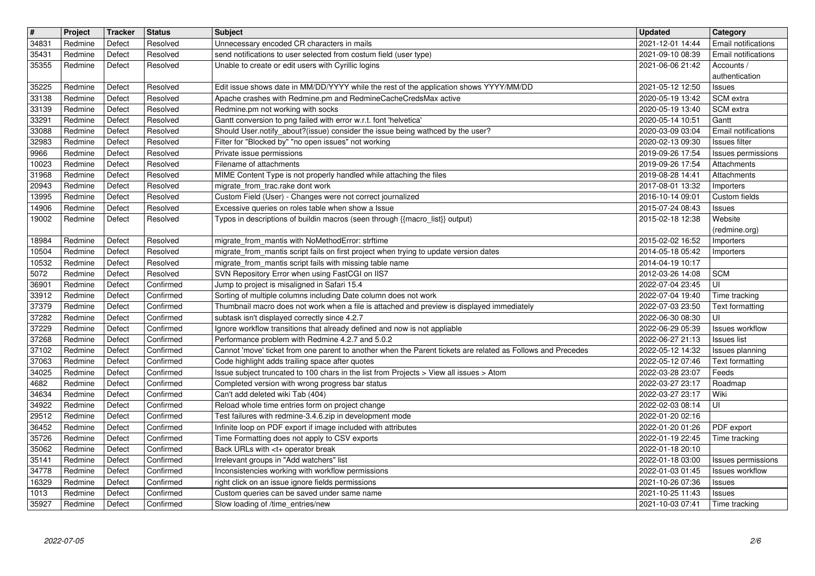| $\sqrt{t}$     | Project            | <b>Tracker</b>   | <b>Status</b>          | Subject                                                                                                                                                        | <b>Updated</b>                       | Category                                      |
|----------------|--------------------|------------------|------------------------|----------------------------------------------------------------------------------------------------------------------------------------------------------------|--------------------------------------|-----------------------------------------------|
| 34831          | Redmine<br>Redmine | Defect<br>Defect | Resolved<br>Resolved   | Unnecessary encoded CR characters in mails<br>send notifications to user selected from costum field (user type)                                                | 2021-12-01 14:44<br>2021-09-10 08:39 | Email notifications<br>Email notifications    |
| 35431<br>35355 | Redmine            | Defect           | Resolved               | Unable to create or edit users with Cyrillic logins                                                                                                            | 2021-06-06 21:42                     | Accounts /                                    |
| 35225          | Redmine            | Defect           | Resolved               | Edit issue shows date in MM/DD/YYYY while the rest of the application shows YYYY/MM/DD                                                                         | 2021-05-12 12:50                     | authentication<br><b>Issues</b>               |
| 33138          | Redmine            | Defect           | Resolved               | Apache crashes with Redmine.pm and RedmineCacheCredsMax active                                                                                                 | 2020-05-19 13:42                     | SCM extra                                     |
| 33139<br>33291 | Redmine<br>Redmine | Defect<br>Defect | Resolved<br>Resolved   | Redmine.pm not working with socks<br>Gantt conversion to png failed with error w.r.t. font 'helvetica'                                                         | 2020-05-19 13:40<br>2020-05-14 10:51 | SCM extra<br>Gantt                            |
| 33088          | Redmine            | Defect           | Resolved               | Should User.notify_about?(issue) consider the issue being wathced by the user?                                                                                 | 2020-03-09 03:04                     | Email notifications                           |
| 32983<br>9966  | Redmine<br>Redmine | Defect<br>Defect | Resolved<br>Resolved   | Filter for "Blocked by" "no open issues" not working<br>Private issue permissions                                                                              | 2020-02-13 09:30<br>2019-09-26 17:54 | Issues filter<br>Issues permissions           |
| 10023          | Redmine            | Defect           | Resolved               | Filename of attachments                                                                                                                                        | 2019-09-26 17:54                     | Attachments                                   |
| 31968<br>20943 | Redmine<br>Redmine | Defect<br>Defect | Resolved<br>Resolved   | MIME Content Type is not properly handled while attaching the files<br>migrate_from_trac.rake dont work                                                        | 2019-08-28 14:41<br>2017-08-01 13:32 | Attachments<br>Importers                      |
| 13995          | Redmine            | Defect           | Resolved               | Custom Field (User) - Changes were not correct journalized                                                                                                     | 2016-10-14 09:01                     | Custom fields                                 |
| 14906<br>19002 | Redmine<br>Redmine | Defect<br>Defect | Resolved<br>Resolved   | Excessive queries on roles table when show a Issue<br>Typos in descriptions of buildin macros (seen through {{macro_list}} output)                             | 2015-07-24 08:43<br>2015-02-18 12:38 | Issues<br>Website                             |
|                |                    |                  |                        |                                                                                                                                                                |                                      | (redmine.org)                                 |
| 18984<br>10504 | Redmine<br>Redmine | Defect<br>Defect | Resolved<br>Resolved   | migrate_from_mantis with NoMethodError: strftime<br>migrate_from_mantis script fails on first project when trying to update version dates                      | 2015-02-02 16:52<br>2014-05-18 05:42 | Importers                                     |
| 10532          | Redmine            | Defect           | Resolved               | migrate_from_mantis script fails with missing table name                                                                                                       | 2014-04-19 10:17                     | Importers                                     |
| 5072           | Redmine            | Defect           | Resolved<br>Confirmed  | SVN Repository Error when using FastCGI on IIS7<br>Jump to project is misaligned in Safari 15.4                                                                | 2012-03-26 14:08                     | <b>SCM</b><br>l UI                            |
| 36901<br>33912 | Redmine<br>Redmine | Defect<br>Defect | Confirmed              | Sorting of multiple columns including Date column does not work                                                                                                | 2022-07-04 23:45<br>2022-07-04 19:40 | Time tracking                                 |
| 37379          | Redmine            | Defect           | Confirmed              | Thumbnail macro does not work when a file is attached and preview is displayed immediately                                                                     | 2022-07-03 23:50                     | Text formatting                               |
| 37282<br>37229 | Redmine<br>Redmine | Defect<br>Defect | Confirmed<br>Confirmed | subtask isn't displayed correctly since 4.2.7<br>Ignore workflow transitions that already defined and now is not appliable                                     | 2022-06-30 08:30<br>2022-06-29 05:39 | UI<br><b>Issues workflow</b>                  |
| 37268          | Redmine            | Defect           | Confirmed              | Performance problem with Redmine 4.2.7 and 5.0.2                                                                                                               | 2022-06-27 21:13                     | <b>Issues list</b>                            |
| 37102<br>37063 | Redmine<br>Redmine | Defect<br>Defect | Confirmed<br>Confirmed | Cannot 'move' ticket from one parent to another when the Parent tickets are related as Follows and Precedes<br>Code highlight adds trailing space after quotes | 2022-05-12 14:32<br>2022-05-12 07:46 | Issues planning<br>Text formatting            |
| 34025          | Redmine            | Defect           | Confirmed              | Issue subject truncated to 100 chars in the list from Projects > View all issues > Atom                                                                        | 2022-03-28 23:07                     | Feeds                                         |
| 4682<br>34634  | Redmine<br>Redmine | Defect<br>Defect | Confirmed<br>Confirmed | Completed version with wrong progress bar status<br>Can't add deleted wiki Tab (404)                                                                           | 2022-03-27 23:17<br>2022-03-27 23:17 | Roadmap<br>Wiki                               |
| 34922          | Redmine            | Defect           | Confirmed              | Reload whole time entries form on project change                                                                                                               | 2022-02-03 08:14                     | UI                                            |
| 29512<br>36452 | Redmine<br>Redmine | Defect<br>Defect | Confirmed<br>Confirmed | Test failures with redmine-3.4.6.zip in development mode<br>Infinite loop on PDF export if image included with attributes                                      | 2022-01-20 02:16<br>2022-01-20 01:26 | PDF export                                    |
| 35726          | Redmine            | Defect           | Confirmed              | Time Formatting does not apply to CSV exports                                                                                                                  | 2022-01-19 22:45                     | Time tracking                                 |
| 35062<br>35141 | Redmine<br>Redmine | Defect<br>Defect | Confirmed<br>Confirmed | Back URLs with <t+ break<br="" operator="">Irrelevant groups in "Add watchers" list</t+>                                                                       | 2022-01-18 20:10                     | $\sqrt{2022-01-1803:00}$   Issues permissions |
| 34778          | Redmine            | Defect           | Confirmed              | Inconsistencies working with workflow permissions                                                                                                              | 2022-01-03 01:45                     | <b>Issues workflow</b>                        |
| 16329<br>1013  | Redmine<br>Redmine | Defect<br>Defect | Confirmed<br>Confirmed | right click on an issue ignore fields permissions<br>Custom queries can be saved under same name                                                               | 2021-10-26 07:36<br>2021-10-25 11:43 | Issues<br>Issues                              |
| 35927          | Redmine            | Defect           | Confirmed              | Slow loading of /time_entries/new                                                                                                                              | 2021-10-03 07:41                     | Time tracking                                 |
|                |                    |                  |                        |                                                                                                                                                                |                                      |                                               |
|                |                    |                  |                        |                                                                                                                                                                |                                      |                                               |
|                |                    |                  |                        |                                                                                                                                                                |                                      |                                               |
|                |                    |                  |                        |                                                                                                                                                                |                                      |                                               |
|                |                    |                  |                        |                                                                                                                                                                |                                      |                                               |
|                |                    |                  |                        |                                                                                                                                                                |                                      |                                               |
|                |                    |                  |                        |                                                                                                                                                                |                                      |                                               |
|                |                    |                  |                        |                                                                                                                                                                |                                      |                                               |
|                |                    |                  |                        |                                                                                                                                                                |                                      |                                               |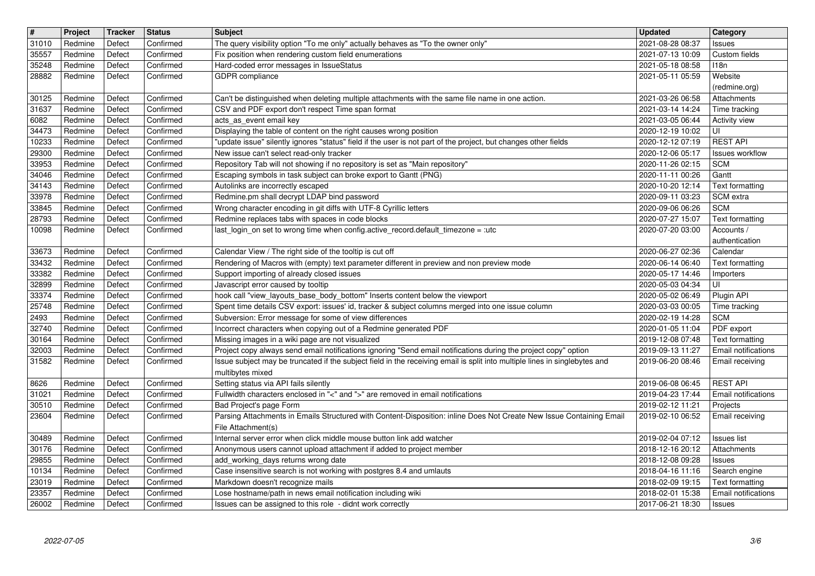| $\overline{\mathbf{H}}$ | Project            | Tracker          | <b>Status</b>          | <b>Subject</b>                                                                                                                                                                                                                                | <b>Updated</b>                       | Category                               |
|-------------------------|--------------------|------------------|------------------------|-----------------------------------------------------------------------------------------------------------------------------------------------------------------------------------------------------------------------------------------------|--------------------------------------|----------------------------------------|
| 31010                   | Redmine            | Defect           | Confirmed              | The query visibility option "To me only" actually behaves as "To the owner only"                                                                                                                                                              | 2021-08-28 08:37                     | Issues                                 |
| 35557<br>35248          | Redmine<br>Redmine | Defect<br>Defect | Confirmed<br>Confirmed | Fix position when rendering custom field enumerations<br>Hard-coded error messages in IssueStatus                                                                                                                                             | 2021-07-13 10:09<br>2021-05-18 08:58 | Custom fields<br>118n                  |
| 28882                   | Redmine            | Defect           | Confirmed              | GDPR compliance                                                                                                                                                                                                                               | 2021-05-11 05:59                     | Website                                |
|                         |                    |                  |                        |                                                                                                                                                                                                                                               |                                      | (redmine.org)                          |
| 30125                   | Redmine            | Defect           | Confirmed              | Can't be distinguished when deleting multiple attachments with the same file name in one action.                                                                                                                                              | 2021-03-26 06:58                     | Attachments                            |
| 31637<br>6082           | Redmine<br>Redmine | Defect<br>Defect | Confirmed<br>Confirmed | CSV and PDF export don't respect Time span format<br>acts_as_event email key                                                                                                                                                                  | 2021-03-14 14:24<br>2021-03-05 06:44 | Time tracking<br><b>Activity view</b>  |
| 34473                   | Redmine            | Defect           | Confirmed              | Displaying the table of content on the right causes wrong position                                                                                                                                                                            | 2020-12-19 10:02                     | UI                                     |
| 10233                   | Redmine            | Defect           | Confirmed              | "update issue" silently ignores "status" field if the user is not part of the project, but changes other fields                                                                                                                               | 2020-12-12 07:19                     | <b>REST API</b>                        |
| 29300                   | Redmine            | Defect           | Confirmed              | New issue can't select read-only tracker                                                                                                                                                                                                      | 2020-12-06 05:17                     | Issues workflow                        |
| 33953                   | Redmine            | Defect           | Confirmed              | Repository Tab will not showing if no repository is set as "Main repository"                                                                                                                                                                  | 2020-11-26 02:15                     | <b>SCM</b>                             |
| 34046<br>34143          | Redmine<br>Redmine | Defect<br>Defect | Confirmed<br>Confirmed | Escaping symbols in task subject can broke export to Gantt (PNG)<br>Autolinks are incorrectly escaped                                                                                                                                         | 2020-11-11 00:26<br>2020-10-20 12:14 | Gantt<br>Text formatting               |
| 33978                   | Redmine            | Defect           | Confirmed              | Redmine.pm shall decrypt LDAP bind password                                                                                                                                                                                                   | 2020-09-11 03:23                     | SCM extra                              |
| 33845                   | Redmine            | Defect           | Confirmed              | Wrong character encoding in git diffs with UTF-8 Cyrillic letters                                                                                                                                                                             | 2020-09-06 06:26                     | <b>SCM</b>                             |
| 28793                   | Redmine            | Defect           | Confirmed              | Redmine replaces tabs with spaces in code blocks                                                                                                                                                                                              | 2020-07-27 15:07                     | Text formatting                        |
| 10098                   | Redmine            | Defect           | Confirmed              | last_login_on set to wrong time when config.active_record.default_timezone = :utc                                                                                                                                                             | 2020-07-20 03:00                     | Accounts /<br>authentication           |
| 33673                   | Redmine            | Defect           | Confirmed              | Calendar View / The right side of the tooltip is cut off                                                                                                                                                                                      | 2020-06-27 02:36                     | Calendar                               |
| 33432                   | Redmine            | Defect           | Confirmed              | Rendering of Macros with (empty) text parameter different in preview and non preview mode                                                                                                                                                     | 2020-06-14 06:40                     | Text formatting                        |
| 33382                   | Redmine            | Defect           | Confirmed              | Support importing of already closed issues                                                                                                                                                                                                    | 2020-05-17 14:46                     | Importers                              |
| 32899<br>33374          | Redmine<br>Redmine | Defect<br>Defect | Confirmed<br>Confirmed | Javascript error caused by tooltip<br>hook call "view_layouts_base_body_bottom" Inserts content below the viewport                                                                                                                            | 2020-05-03 04:34<br>2020-05-02 06:49 | UI<br>Plugin API                       |
| 25748                   | Redmine            | Defect           | Confirmed              | Spent time details CSV export: issues' id, tracker & subject columns merged into one issue column                                                                                                                                             | 2020-03-03 00:05                     | Time tracking                          |
| 2493                    | Redmine            | Defect           | Confirmed              | Subversion: Error message for some of view differences                                                                                                                                                                                        | 2020-02-19 14:28                     | <b>SCM</b>                             |
| 32740                   | Redmine            | Defect           | Confirmed              | Incorrect characters when copying out of a Redmine generated PDF                                                                                                                                                                              | 2020-01-05 11:04                     | PDF export                             |
| 30164                   | Redmine            | Defect           | Confirmed              | Missing images in a wiki page are not visualized                                                                                                                                                                                              | 2019-12-08 07:48                     | Text formatting                        |
| 32003<br>31582          | Redmine<br>Redmine | Defect<br>Defect | Confirmed<br>Confirmed | Project copy always send email notifications ignoring "Send email notifications during the project copy" option<br>Issue subject may be truncated if the subject field in the receiving email is split into multiple lines in singlebytes and | 2019-09-13 11:27<br>2019-06-20 08:46 | Email notifications<br>Email receiving |
|                         |                    |                  |                        | multibytes mixed                                                                                                                                                                                                                              |                                      |                                        |
| 8626                    | Redmine            | Defect           | Confirmed              | Setting status via API fails silently                                                                                                                                                                                                         | 2019-06-08 06:45                     | <b>REST API</b>                        |
| 31021                   | Redmine            | Defect           | Confirmed              | Fullwidth characters enclosed in "<" and ">" are removed in email notifications                                                                                                                                                               | 2019-04-23 17:44                     | Email notifications                    |
| 30510                   | Redmine            | Defect           | Confirmed              | Bad Project's page Form                                                                                                                                                                                                                       | 2019-02-12 11:21                     | Projects                               |
| 23604                   | Redmine            | Defect           | Confirmed              | Parsing Attachments in Emails Structured with Content-Disposition: inline Does Not Create New Issue Containing Email<br>File Attachment(s)                                                                                                    | 2019-02-10 06:52                     | Email receiving                        |
| 30489                   | Redmine            | Defect           | Confirmed              | Internal server error when click middle mouse button link add watcher                                                                                                                                                                         | 2019-02-04 07:12                     | <b>Issues</b> list                     |
| 30176                   | Redmine            | Defect           | Confirmed              | Anonymous users cannot upload attachment if added to project member                                                                                                                                                                           | 2018-12-16 20:12                     | Attachments                            |
| 29855                   | Redmine            | Defect           | Confirmed              | add_working_days returns wrong date                                                                                                                                                                                                           | 2018-12-08 09:28   Issues            |                                        |
| 10134<br>23019          | Redmine<br>Redmine | Defect<br>Defect | Confirmed<br>Confirmed | Case insensitive search is not working with postgres 8.4 and umlauts<br>Markdown doesn't recognize mails                                                                                                                                      | 2018-04-16 11:16<br>2018-02-09 19:15 | Search engine<br>Text formatting       |
| 23357                   | Redmine            | Defect           | Confirmed              | Lose hostname/path in news email notification including wiki                                                                                                                                                                                  | 2018-02-01 15:38                     | Email notifications                    |
| 26002                   | Redmine            | Defect           | Confirmed              | Issues can be assigned to this role - didnt work correctly                                                                                                                                                                                    | 2017-06-21 18:30                     | <b>Issues</b>                          |
|                         |                    |                  |                        |                                                                                                                                                                                                                                               |                                      |                                        |
|                         |                    |                  |                        |                                                                                                                                                                                                                                               |                                      |                                        |
|                         |                    |                  |                        |                                                                                                                                                                                                                                               |                                      |                                        |
|                         |                    |                  |                        |                                                                                                                                                                                                                                               |                                      |                                        |
|                         |                    |                  |                        |                                                                                                                                                                                                                                               |                                      |                                        |
|                         |                    |                  |                        |                                                                                                                                                                                                                                               |                                      |                                        |
|                         |                    |                  |                        |                                                                                                                                                                                                                                               |                                      |                                        |
|                         |                    |                  |                        |                                                                                                                                                                                                                                               |                                      |                                        |
|                         |                    |                  |                        |                                                                                                                                                                                                                                               |                                      |                                        |
|                         |                    |                  |                        |                                                                                                                                                                                                                                               |                                      |                                        |
|                         |                    |                  |                        |                                                                                                                                                                                                                                               |                                      |                                        |
|                         |                    |                  |                        |                                                                                                                                                                                                                                               |                                      |                                        |
|                         |                    |                  |                        |                                                                                                                                                                                                                                               |                                      |                                        |
|                         |                    |                  |                        |                                                                                                                                                                                                                                               |                                      |                                        |
|                         |                    |                  |                        |                                                                                                                                                                                                                                               |                                      |                                        |
|                         |                    |                  |                        |                                                                                                                                                                                                                                               |                                      |                                        |
|                         |                    |                  |                        |                                                                                                                                                                                                                                               |                                      |                                        |
|                         |                    |                  |                        |                                                                                                                                                                                                                                               |                                      |                                        |
|                         |                    |                  |                        |                                                                                                                                                                                                                                               |                                      |                                        |
|                         |                    |                  |                        |                                                                                                                                                                                                                                               |                                      |                                        |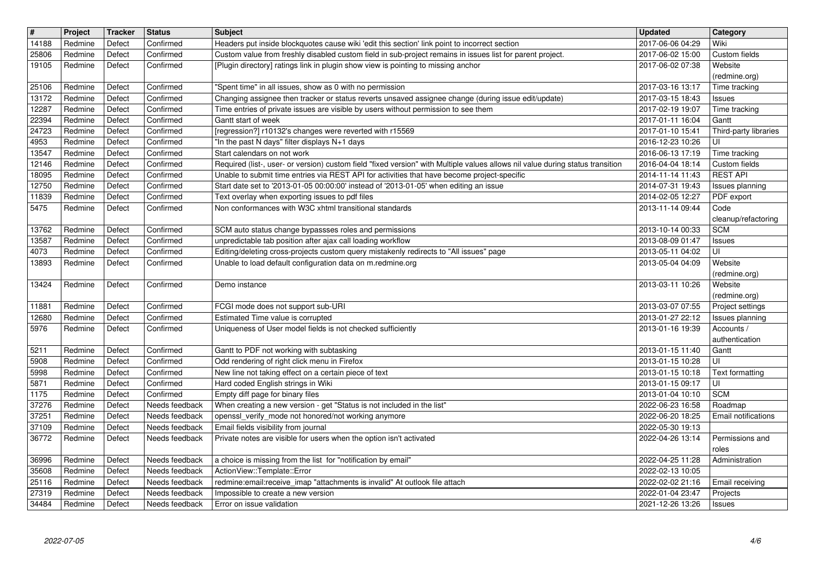| $\overline{\mathbf{H}}$ | Project                  | <b>Tracker</b>   | <b>Status</b>                    | Subject                                                                                                                                                                                                    | <b>Updated</b>                       | <b>Category</b>                |
|-------------------------|--------------------------|------------------|----------------------------------|------------------------------------------------------------------------------------------------------------------------------------------------------------------------------------------------------------|--------------------------------------|--------------------------------|
| 14188<br>25806          | Redmine<br>Redmine       | Defect<br>Defect | Confirmed<br>Confirmed           | Headers put inside blockquotes cause wiki 'edit this section' link point to incorrect section<br>Custom value from freshly disabled custom field in sub-project remains in issues list for parent project. | 2017-06-06 04:29<br>2017-06-02 15:00 | Wiki<br>Custom fields          |
| 19105                   | Redmine                  | Defect           | Confirmed                        | [Plugin directory] ratings link in plugin show view is pointing to missing anchor                                                                                                                          | 2017-06-02 07:38                     | Website                        |
| 25106                   | Redmine                  | Defect           | Confirmed                        | "Spent time" in all issues, show as 0 with no permission                                                                                                                                                   | 2017-03-16 13:17                     | (redmine.org)<br>Time tracking |
| 13172                   | Redmine                  | Defect           | Confirmed                        | Changing assignee then tracker or status reverts unsaved assignee change (during issue edit/update)                                                                                                        | 2017-03-15 18:43                     | <b>Issues</b>                  |
| 12287                   | Redmine                  | Defect           | Confirmed                        | Time entries of private issues are visible by users without permission to see them                                                                                                                         | 2017-02-19 19:07                     | Time tracking                  |
| 22394<br>24723          | Redmine<br>Redmine       | Defect<br>Defect | Confirmed<br>Confirmed           | Gantt start of week<br>[regression?] r10132's changes were reverted with r15569                                                                                                                            | 2017-01-11 16:04<br>2017-01-10 15:41 | Gantt<br>Third-party libraries |
| 4953                    | Redmine                  | Defect           | Confirmed                        | "In the past N days" filter displays N+1 days                                                                                                                                                              | 2016-12-23 10:26                     | UI                             |
| 13547<br>12146          | Redmine<br>Redmine       | Defect<br>Defect | Confirmed<br>Confirmed           | Start calendars on not work<br>Required (list-, user- or version) custom field "fixed version" with Multiple values allows nil value during status transition                                              | 2016-06-13 17:19<br>2016-04-04 18:14 | Time tracking<br>Custom fields |
| 18095                   | Redmine                  | Defect           | Confirmed                        | Unable to submit time entries via REST API for activities that have become project-specific                                                                                                                | 2014-11-14 11:43                     | <b>REST API</b>                |
| 12750                   | Redmine                  | Defect           | Confirmed                        | Start date set to '2013-01-05 00:00:00' instead of '2013-01-05' when editing an issue                                                                                                                      | 2014-07-31 19:43                     | Issues planning                |
| 11839<br>5475           | Redmine<br>Redmine       | Defect<br>Defect | Confirmed<br>Confirmed           | Text overlay when exporting issues to pdf files<br>Non conformances with W3C xhtml transitional standards                                                                                                  | 2014-02-05 12:27<br>2013-11-14 09:44 | PDF export<br>Code             |
|                         |                          |                  |                                  |                                                                                                                                                                                                            |                                      | cleanup/refactoring            |
| 13762<br>13587          | Redmine<br>Redmine       | Defect<br>Defect | Confirmed<br>Confirmed           | SCM auto status change bypassses roles and permissions<br>unpredictable tab position after ajax call loading workflow                                                                                      | 2013-10-14 00:33<br>2013-08-09 01:47 | <b>SCM</b><br>Issues           |
| 4073                    | Redmine                  | Defect           | Confirmed                        | Editing/deleting cross-projects custom query mistakenly redirects to "All issues" page                                                                                                                     | 2013-05-11 04:02                     | UI                             |
| 13893                   | Redmine                  | Defect           | Confirmed                        | Unable to load default configuration data on m.redmine.org                                                                                                                                                 | 2013-05-04 04:09                     | Website                        |
| 13424                   | Redmine                  | Defect           | Confirmed                        | Demo instance                                                                                                                                                                                              | 2013-03-11 10:26                     | (redmine.org)<br>Website       |
|                         |                          |                  |                                  |                                                                                                                                                                                                            |                                      | (redmine.org)                  |
| 11881                   | Redmine                  | Defect           | Confirmed                        | FCGI mode does not support sub-URI                                                                                                                                                                         | 2013-03-07 07:55<br>2013-01-27 22:12 | Project settings               |
| 12680<br>5976           | Redmine<br>Redmine       | Defect<br>Defect | Confirmed<br>Confirmed           | Estimated Time value is corrupted<br>Uniqueness of User model fields is not checked sufficiently                                                                                                           | 2013-01-16 19:39                     | Issues planning<br>Accounts /  |
|                         |                          |                  |                                  |                                                                                                                                                                                                            |                                      | authentication                 |
| 5211<br>5908            | Redmine<br>Redmine       | Defect<br>Defect | Confirmed<br>Confirmed           | Gantt to PDF not working with subtasking<br>Odd rendering of right click menu in Firefox                                                                                                                   | 2013-01-15 11:40<br>2013-01-15 10:28 | Gantt<br>ΙUΙ                   |
| 5998                    | Redmine                  | Defect           | Confirmed                        | New line not taking effect on a certain piece of text                                                                                                                                                      | 2013-01-15 10:18                     | Text formatting                |
| 5871                    | Redmine                  | Defect           | Confirmed                        | Hard coded English strings in Wiki                                                                                                                                                                         | 2013-01-15 09:17                     | l UI                           |
| 1175<br>37276           | Redmine<br>Redmine       | Defect<br>Defect | Confirmed<br>Needs feedback      | Empty diff page for binary files<br>When creating a new version - get "Status is not included in the list"                                                                                                 | 2013-01-04 10:10<br>2022-06-23 16:58 | <b>SCM</b><br>Roadmap          |
| 37251                   | Redmine                  | Defect           | Needs feedback                   | openssl_verify_mode not honored/not working anymore                                                                                                                                                        | 2022-06-20 18:25                     | <b>Email notifications</b>     |
| 37109<br>36772          | Redmine<br>Redmine       | Defect<br>Defect | Needs feedback<br>Needs feedback | Email fields visibility from journal<br>Private notes are visible for users when the option isn't activated                                                                                                | 2022-05-30 19:13<br>2022-04-26 13:14 | Permissions and                |
|                         |                          |                  |                                  |                                                                                                                                                                                                            |                                      | roles                          |
|                         | 36996   Redmine   Defect |                  |                                  | Needs feedback a choice is missing from the list for "notification by email"                                                                                                                               | 2022-04-25 11:28                     | Administration                 |
| 35608<br>25116          | Redmine<br>Redmine       | Defect<br>Defect | Needs feedback<br>Needs feedback | ActionView::Template::Error<br>redmine:email:receive_imap "attachments is invalid" At outlook file attach                                                                                                  | 2022-02-13 10:05<br>2022-02-02 21:16 | Email receiving                |
| 27319<br>34484          | Redmine<br>Redmine       | Defect<br>Defect | Needs feedback<br>Needs feedback | Impossible to create a new version<br>Error on issue validation                                                                                                                                            | 2022-01-04 23:47<br>2021-12-26 13:26 | Projects<br>Issues             |
|                         |                          |                  |                                  |                                                                                                                                                                                                            |                                      |                                |
| 2022-07-05              |                          |                  |                                  |                                                                                                                                                                                                            |                                      |                                |
|                         |                          |                  |                                  |                                                                                                                                                                                                            |                                      |                                |
|                         |                          |                  |                                  |                                                                                                                                                                                                            |                                      |                                |
|                         |                          |                  |                                  |                                                                                                                                                                                                            |                                      |                                |
|                         |                          |                  |                                  |                                                                                                                                                                                                            |                                      |                                |
|                         |                          |                  |                                  |                                                                                                                                                                                                            |                                      |                                |
|                         |                          |                  |                                  |                                                                                                                                                                                                            |                                      |                                |
|                         |                          |                  |                                  |                                                                                                                                                                                                            |                                      |                                |
|                         |                          |                  |                                  |                                                                                                                                                                                                            |                                      |                                |
|                         |                          |                  |                                  |                                                                                                                                                                                                            |                                      |                                |
|                         |                          |                  |                                  |                                                                                                                                                                                                            |                                      |                                |
|                         |                          |                  |                                  |                                                                                                                                                                                                            |                                      |                                |
|                         |                          |                  |                                  |                                                                                                                                                                                                            |                                      |                                |
|                         |                          |                  |                                  |                                                                                                                                                                                                            |                                      |                                |
|                         |                          |                  |                                  |                                                                                                                                                                                                            |                                      |                                |
|                         |                          |                  |                                  |                                                                                                                                                                                                            |                                      |                                |
|                         |                          |                  |                                  |                                                                                                                                                                                                            |                                      |                                |
|                         |                          |                  |                                  |                                                                                                                                                                                                            |                                      |                                |
|                         |                          |                  |                                  |                                                                                                                                                                                                            |                                      |                                |
|                         |                          |                  |                                  |                                                                                                                                                                                                            |                                      |                                |
|                         |                          |                  |                                  |                                                                                                                                                                                                            |                                      |                                |
|                         |                          |                  |                                  |                                                                                                                                                                                                            |                                      |                                |
|                         |                          |                  |                                  |                                                                                                                                                                                                            |                                      |                                |
|                         |                          |                  |                                  |                                                                                                                                                                                                            |                                      |                                |
|                         |                          |                  |                                  |                                                                                                                                                                                                            |                                      |                                |
|                         |                          |                  |                                  |                                                                                                                                                                                                            |                                      |                                |
|                         |                          |                  |                                  |                                                                                                                                                                                                            |                                      |                                |
|                         |                          |                  |                                  |                                                                                                                                                                                                            |                                      |                                |
|                         |                          |                  |                                  |                                                                                                                                                                                                            |                                      |                                |
|                         |                          |                  |                                  |                                                                                                                                                                                                            |                                      |                                |
|                         |                          |                  |                                  |                                                                                                                                                                                                            |                                      |                                |
|                         |                          |                  |                                  |                                                                                                                                                                                                            |                                      |                                |
|                         |                          |                  |                                  |                                                                                                                                                                                                            |                                      |                                |
|                         |                          |                  |                                  |                                                                                                                                                                                                            |                                      |                                |
|                         |                          |                  |                                  |                                                                                                                                                                                                            |                                      |                                |
|                         |                          |                  |                                  |                                                                                                                                                                                                            |                                      |                                |
|                         |                          |                  |                                  |                                                                                                                                                                                                            |                                      |                                |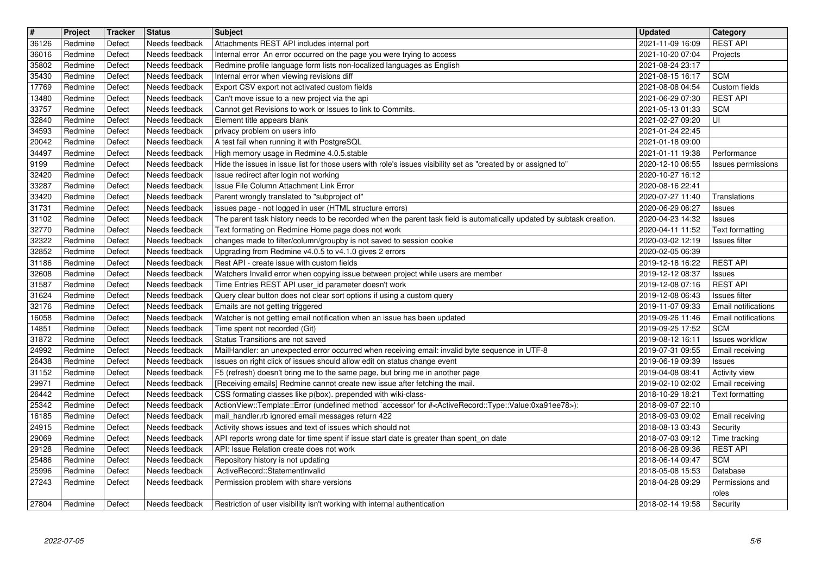| $\boxed{\texttt{#}}$ | Project            | Tracker          | <b>Status</b>                    | <b>Subject</b>                                                                                                                                                                                     | <b>Updated</b>                       | <b>Category</b>                             |
|----------------------|--------------------|------------------|----------------------------------|----------------------------------------------------------------------------------------------------------------------------------------------------------------------------------------------------|--------------------------------------|---------------------------------------------|
| 36126<br>36016       | Redmine<br>Redmine | Defect<br>Defect | Needs feedback<br>Needs feedback | Attachments REST API includes internal port<br>Internal error An error occurred on the page you were trying to access                                                                              | 2021-11-09 16:09<br>2021-10-20 07:04 | <b>REST API</b><br>Projects                 |
| 35802                | Redmine            | Defect           | Needs feedback                   | Redmine profile language form lists non-localized languages as English                                                                                                                             | 2021-08-24 23:17                     |                                             |
| 35430<br>17769       | Redmine<br>Redmine | Defect<br>Defect | Needs feedback<br>Needs feedback | Internal error when viewing revisions diff<br>Export CSV export not activated custom fields                                                                                                        | 2021-08-15 16:17<br>2021-08-08 04:54 | <b>SCM</b><br>Custom fields                 |
| 13480                | Redmine            | Defect           | Needs feedback                   | Can't move issue to a new project via the api                                                                                                                                                      | 2021-06-29 07:30                     | <b>REST API</b>                             |
| 33757                | Redmine            | Defect           | Needs feedback                   | Cannot get Revisions to work or Issues to link to Commits.                                                                                                                                         | 2021-05-13 01:33                     | <b>SCM</b><br>UI                            |
| 32840<br>34593       | Redmine<br>Redmine | Defect<br>Defect | Needs feedback<br>Needs feedback | Element title appears blank<br>privacy problem on users info                                                                                                                                       | 2021-02-27 09:20<br>2021-01-24 22:45 |                                             |
| 20042                | Redmine            | Defect           | Needs feedback                   | A test fail when running it with PostgreSQL                                                                                                                                                        | 2021-01-18 09:00                     |                                             |
| 34497<br>9199        | Redmine<br>Redmine | Defect<br>Defect | Needs feedback<br>Needs feedback | High memory usage in Redmine 4.0.5.stable<br>Hide the issues in issue list for those users with role's issues visibility set as "created by or assigned to"                                        | 2021-01-11 19:38<br>2020-12-10 06:55 | Performance<br>Issues permissions           |
| 32420                | Redmine            | Defect           | Needs feedback                   | Issue redirect after login not working                                                                                                                                                             | 2020-10-27 16:12                     |                                             |
| 33287<br>33420       | Redmine<br>Redmine | Defect<br>Defect | Needs feedback<br>Needs feedback | Issue File Column Attachment Link Error<br>Parent wrongly translated to "subproject of"                                                                                                            | 2020-08-16 22:41<br>2020-07-27 11:40 | Translations                                |
| 31731                | Redmine            | Defect           | Needs feedback                   | issues page - not logged in user (HTML structure errors)                                                                                                                                           | 2020-06-29 06:27                     | Issues                                      |
| 31102<br>32770       | Redmine<br>Redmine | Defect<br>Defect | Needs feedback<br>Needs feedback | The parent task history needs to be recorded when the parent task field is automatically updated by subtask creation.<br>Text formating on Redmine Home page does not work                         | 2020-04-23 14:32<br>2020-04-11 11:52 | Issues<br>Text formatting                   |
| 32322                | Redmine            | Defect           | Needs feedback                   | changes made to filter/column/groupby is not saved to session cookie                                                                                                                               | 2020-03-02 12:19                     | <b>Issues filter</b>                        |
| 32852                | Redmine            | Defect           | Needs feedback                   | Upgrading from Redmine v4.0.5 to v4.1.0 gives 2 errors<br>Rest API - create issue with custom fields                                                                                               | 2020-02-05 06:39                     | <b>REST API</b>                             |
| 31186<br>32608       | Redmine<br>Redmine | Defect<br>Defect | Needs feedback<br>Needs feedback | Watchers Invalid error when copying issue between project while users are member                                                                                                                   | 2019-12-18 16:22<br>2019-12-12 08:37 | Issues                                      |
| 31587                | Redmine            | Defect           | Needs feedback                   | Time Entries REST API user_id parameter doesn't work                                                                                                                                               | 2019-12-08 07:16                     | <b>REST API</b>                             |
| 31624<br>32176       | Redmine<br>Redmine | Defect<br>Defect | Needs feedback<br>Needs feedback | Query clear button does not clear sort options if using a custom query<br>Emails are not getting triggered                                                                                         | 2019-12-08 06:43<br>2019-11-07 09:33 | <b>Issues filter</b><br>Email notifications |
| 16058                | Redmine            | Defect           | Needs feedback                   | Watcher is not getting email notification when an issue has been updated                                                                                                                           | 2019-09-26 11:46                     | Email notifications                         |
| 14851<br>31872       | Redmine<br>Redmine | Defect<br>Defect | Needs feedback<br>Needs feedback | Time spent not recorded (Git)<br>Status Transitions are not saved                                                                                                                                  | 2019-09-25 17:52<br>2019-08-12 16:11 | <b>SCM</b><br>Issues workflow               |
| 24992                | Redmine            | Defect           | Needs feedback                   | MailHandler: an unexpected error occurred when receiving email: invalid byte sequence in UTF-8                                                                                                     | 2019-07-31 09:55                     | Email receiving                             |
| 26438<br>31152       | Redmine            | Defect           | Needs feedback                   | Issues on right click of issues should allow edit on status change event                                                                                                                           | 2019-06-19 09:39                     | Issues                                      |
| 29971                | Redmine<br>Redmine | Defect<br>Defect | Needs feedback<br>Needs feedback | F5 (refresh) doesn't bring me to the same page, but bring me in another page<br>[Receiving emails] Redmine cannot create new issue after fetching the mail.                                        | 2019-04-08 08:41<br>2019-02-10 02:02 | <b>Activity view</b><br>Email receiving     |
| 26442                | Redmine            | Defect           | Needs feedback                   | CSS formating classes like p(box). prepended with wiki-class-                                                                                                                                      | 2018-10-29 18:21                     | Text formatting                             |
| 25342<br>16185       | Redmine<br>Redmine | Defect<br>Defect | Needs feedback<br>Needs feedback | ActionView::Template::Error (undefined method `accessor' for # <activerecord::type::value:0xa91ee78>):<br/>mail_handler.rb ignored email messages return 422</activerecord::type::value:0xa91ee78> | 2018-09-07 22:10<br>2018-09-03 09:02 | Email receiving                             |
| 24915                | Redmine            | Defect           | Needs feedback                   | Activity shows issues and text of issues which should not                                                                                                                                          | 2018-08-13 03:43                     | Security                                    |
| 29069<br>29128       | Redmine<br>Redmine | Defect<br>Defect | Needs feedback<br>Needs feedback | API reports wrong date for time spent if issue start date is greater than spent_on date<br>API: Issue Relation create does not work                                                                | 2018-07-03 09:12<br>2018-06-28 09:36 | Time tracking<br><b>REST API</b>            |
| 25486                | Redmine            | Defect           | Needs feedback                   | Repository history is not updating                                                                                                                                                                 | 2018-06-14 09:47                     | <b>SCM</b>                                  |
| 25996                | Redmine            | Defect           | Needs feedback                   | ActiveRecord::StatementInvalid                                                                                                                                                                     | 2018-05-08 15:53                     | Database                                    |
| 27243                | Redmine            | Defect           | Needs feedback                   | Permission problem with share versions                                                                                                                                                             | 2018-04-28 09:29                     | Permissions and<br>roles                    |
| 27804                | Redmine            | Defect           | Needs feedback                   | Restriction of user visibility isn't working with internal authentication                                                                                                                          | 2018-02-14 19:58                     | Security                                    |
|                      |                    |                  |                                  |                                                                                                                                                                                                    |                                      |                                             |
|                      |                    |                  |                                  |                                                                                                                                                                                                    |                                      |                                             |
|                      |                    |                  |                                  |                                                                                                                                                                                                    |                                      |                                             |
|                      |                    |                  |                                  |                                                                                                                                                                                                    |                                      |                                             |
|                      |                    |                  |                                  |                                                                                                                                                                                                    |                                      |                                             |
|                      |                    |                  |                                  |                                                                                                                                                                                                    |                                      |                                             |
|                      |                    |                  |                                  |                                                                                                                                                                                                    |                                      |                                             |
|                      |                    |                  |                                  |                                                                                                                                                                                                    |                                      |                                             |
|                      |                    |                  |                                  |                                                                                                                                                                                                    |                                      |                                             |
|                      |                    |                  |                                  |                                                                                                                                                                                                    |                                      |                                             |
|                      |                    |                  |                                  |                                                                                                                                                                                                    |                                      |                                             |
|                      |                    |                  |                                  |                                                                                                                                                                                                    |                                      |                                             |